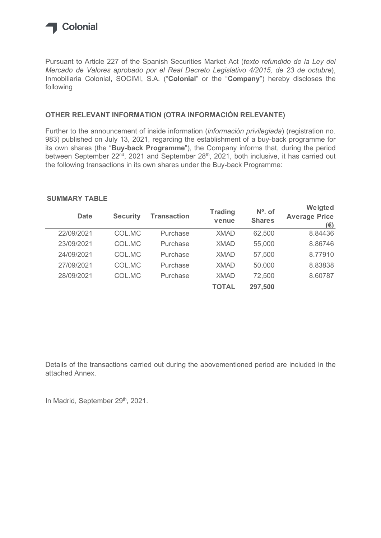

## OTHER RELEVANT INFORMATION (OTRA INFORMACIÓN RELEVANTE)

## SUMMARY TABLE

| Pursuant to Article 227 of the Spanish Securities Market Act (texto refundido de la Ley del<br>Mercado de Valores aprobado por el Real Decreto Legislativo 4/2015, de 23 de octubre),<br>Inmobiliaria Colonial, SOCIMI, S.A. ("Colonial" or the "Company") hereby discloses the<br>following |                 |                    |                |               |                                 |
|----------------------------------------------------------------------------------------------------------------------------------------------------------------------------------------------------------------------------------------------------------------------------------------------|-----------------|--------------------|----------------|---------------|---------------------------------|
| OTHER RELEVANT INFORMATION (OTRA INFORMACIÓN RELEVANTE)                                                                                                                                                                                                                                      |                 |                    |                |               |                                 |
| Further to the announcement of inside information (información privilegiada) (registration no.<br>983) published on July 13, 2021, regarding the establishment of a buy-back programme for<br>its own shares (the "Buy-back Programme"), the Company informs that, during the period         |                 |                    |                |               |                                 |
| <b>SUMMARY TABLE</b><br><b>Date</b>                                                                                                                                                                                                                                                          | <b>Security</b> | <b>Transaction</b> | <b>Trading</b> | $No$ . of     | Weigted<br><b>Average Price</b> |
|                                                                                                                                                                                                                                                                                              |                 |                    | venue          | <b>Shares</b> | $(\epsilon)$                    |
| 22/09/2021                                                                                                                                                                                                                                                                                   | COL.MC          | Purchase           | <b>XMAD</b>    | 62,500        | 8.84436                         |
| between September 22 <sup>nd</sup> , 2021 and September 28 <sup>th</sup> , 2021, both inclusive, it has carried out<br>the following transactions in its own shares under the Buy-back Programme:<br>23/09/2021                                                                              | COL.MC          | Purchase           | <b>XMAD</b>    | 55,000        | 8.86746                         |
| 24/09/2021                                                                                                                                                                                                                                                                                   | COL.MC          | Purchase           | <b>XMAD</b>    | 57,500        | 8.77910                         |
| 27/09/2021                                                                                                                                                                                                                                                                                   | COL.MC          | Purchase           | <b>XMAD</b>    | 50,000        | 8.83838                         |
| 28/09/2021                                                                                                                                                                                                                                                                                   | COL.MC          | Purchase           | <b>XMAD</b>    | 72,500        | 8.60787                         |

Details of the transactions carried out during the abovementioned period are included in the attached Annex.

In Madrid, September 29th, 2021.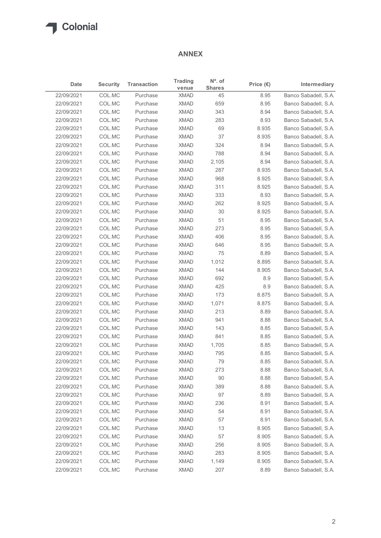

## ANNEX

| $No$ . of<br><b>Trading</b><br><b>Security</b><br><b>Transaction</b><br>Intermediary<br>Date<br>Price $(\epsilon)$<br><b>Shares</b><br>venue<br>COL.MC<br>45<br>Purchase<br><b>XMAD</b><br>8.95<br>COL.MC<br>659<br>Purchase<br><b>XMAD</b><br>8.95<br>COL.MC<br>343<br>Purchase<br><b>XMAD</b><br>8.94<br>COL.MC<br>22/09/2021<br>Purchase<br><b>XMAD</b><br>283<br>8.93<br>COL.MC<br>69<br>Purchase<br><b>XMAD</b><br>8.935<br>COL.MC<br>Purchase<br><b>XMAD</b><br>37<br>8.935<br>COL.MC<br>Purchase<br><b>XMAD</b><br>324<br>8.94<br>COL.MC<br>788<br>Purchase<br><b>XMAD</b><br>8.94<br>COL.MC<br><b>XMAD</b><br>2,105<br>8.94<br>Purchase<br>COL.MC<br>Purchase<br><b>XMAD</b><br>287<br>8.935<br>COL.MC<br>968<br>22/09/2021<br>Purchase<br><b>XMAD</b><br>8.925<br>COL.MC<br>22/09/2021<br>Purchase<br><b>XMAD</b><br>311<br>8.925<br>333<br>8.93<br>22/09/2021<br>COL.MC<br>Purchase<br><b>XMAD</b><br>262<br>22/09/2021<br>COL.MC<br>Purchase<br><b>XMAD</b><br>8.925<br>COL.MC<br><b>XMAD</b><br>30<br>8.925<br>Purchase<br>COL.MC<br>51<br>8.95<br>Purchase<br><b>XMAD</b><br>COL.MC<br>Purchase<br><b>XMAD</b><br>273<br>8.95<br>COL.MC<br>406<br>Purchase<br><b>XMAD</b><br>8.95<br>COL.MC<br>646<br>8.95<br>Purchase<br><b>XMAD</b><br>75<br>COL.MC<br>Purchase<br><b>XMAD</b><br>8.89<br>COL.MC<br>Purchase<br><b>XMAD</b><br>1,012<br>8.895<br>144<br>COL.MC<br>Purchase<br><b>XMAD</b><br>8.905<br>COL.MC<br>Purchase<br><b>XMAD</b><br>692<br>8.9<br>COL.MC<br>Purchase<br><b>XMAD</b><br>425<br>8.9<br>COL.MC<br>Purchase<br><b>XMAD</b><br>173<br>8.875<br>COL.MC<br>Purchase<br><b>XMAD</b><br>1,071<br>8.875<br>COL.MC<br><b>XMAD</b><br>213<br>8.89<br>Purchase<br>COL.MC<br><b>XMAD</b><br>941<br>8.88<br>Purchase<br>COL.MC<br>Purchase<br><b>XMAD</b><br>143<br>8.85<br>COL.MC<br>Purchase<br><b>XMAD</b><br>841<br>8.85<br>22/09/2021<br>COL.MC<br>8.85<br>Purchase<br><b>XMAD</b><br>1,705<br>COL.MC<br>22/09/2021<br>Purchase<br><b>XMAD</b><br>795<br>8.85<br>79<br>COL.MC<br><b>XMAD</b><br>8.85<br>Purchase<br>COL.MC<br>273<br>Purchase<br><b>XMAD</b><br>8.88<br>COL.MC<br>90<br>Purchase<br><b>XMAD</b><br>8.88<br>COL.MC<br>Purchase<br><b>XMAD</b><br>389<br>8.88<br>COL.MC<br>97<br>Purchase<br><b>XMAD</b><br>8.89<br>COL.MC<br>Purchase<br><b>XMAD</b><br>236<br>8.91 |            |        |          | <b>ANNEX</b> |    |      |                      |
|----------------------------------------------------------------------------------------------------------------------------------------------------------------------------------------------------------------------------------------------------------------------------------------------------------------------------------------------------------------------------------------------------------------------------------------------------------------------------------------------------------------------------------------------------------------------------------------------------------------------------------------------------------------------------------------------------------------------------------------------------------------------------------------------------------------------------------------------------------------------------------------------------------------------------------------------------------------------------------------------------------------------------------------------------------------------------------------------------------------------------------------------------------------------------------------------------------------------------------------------------------------------------------------------------------------------------------------------------------------------------------------------------------------------------------------------------------------------------------------------------------------------------------------------------------------------------------------------------------------------------------------------------------------------------------------------------------------------------------------------------------------------------------------------------------------------------------------------------------------------------------------------------------------------------------------------------------------------------------------------------------------------------------------------------------------------------------------------------------------------------------------------------------------------------------------------------------------------------------------------------------------------------------------------------------------|------------|--------|----------|--------------|----|------|----------------------|
| Banco Sabadell, S.A.<br>Banco Sabadell, S.A.<br>Banco Sabadell, S.A.<br>Banco Sabadell, S.A.<br>Banco Sabadell, S.A.<br>Banco Sabadell, S.A.<br>Banco Sabadell, S.A.<br>Banco Sabadell, S.A.<br>Banco Sabadell, S.A.<br>Banco Sabadell, S.A.<br>Banco Sabadell, S.A.<br>Banco Sabadell, S.A.<br>Banco Sabadell, S.A.<br>Banco Sabadell, S.A.<br>Banco Sabadell, S.A.                                                                                                                                                                                                                                                                                                                                                                                                                                                                                                                                                                                                                                                                                                                                                                                                                                                                                                                                                                                                                                                                                                                                                                                                                                                                                                                                                                                                                                                                                                                                                                                                                                                                                                                                                                                                                                                                                                                                           |            |        |          |              |    |      |                      |
| Banco Sabadell, S.A.<br>Banco Sabadell, S.A.<br>Banco Sabadell, S.A.<br>Banco Sabadell, S.A.<br>Banco Sabadell, S.A.<br>Banco Sabadell, S.A.<br>Banco Sabadell, S.A.<br>Banco Sabadell, S.A.<br>Banco Sabadell, S.A.<br>Banco Sabadell, S.A.<br>Banco Sabadell, S.A.<br>Banco Sabadell, S.A.<br>Banco Sabadell, S.A.<br>Banco Sabadell, S.A.                                                                                                                                                                                                                                                                                                                                                                                                                                                                                                                                                                                                                                                                                                                                                                                                                                                                                                                                                                                                                                                                                                                                                                                                                                                                                                                                                                                                                                                                                                                                                                                                                                                                                                                                                                                                                                                                                                                                                                   | 22/09/2021 |        |          |              |    |      |                      |
| Banco Sabadell, S.A.<br>Banco Sabadell, S.A.<br>Banco Sabadell, S.A.<br>Banco Sabadell, S.A.<br>Banco Sabadell, S.A.<br>Banco Sabadell, S.A.<br>Banco Sabadell, S.A.<br>Banco Sabadell, S.A.<br>Banco Sabadell, S.A.                                                                                                                                                                                                                                                                                                                                                                                                                                                                                                                                                                                                                                                                                                                                                                                                                                                                                                                                                                                                                                                                                                                                                                                                                                                                                                                                                                                                                                                                                                                                                                                                                                                                                                                                                                                                                                                                                                                                                                                                                                                                                           | 22/09/2021 |        |          |              |    |      |                      |
|                                                                                                                                                                                                                                                                                                                                                                                                                                                                                                                                                                                                                                                                                                                                                                                                                                                                                                                                                                                                                                                                                                                                                                                                                                                                                                                                                                                                                                                                                                                                                                                                                                                                                                                                                                                                                                                                                                                                                                                                                                                                                                                                                                                                                                                                                                                | 22/09/2021 |        |          |              |    |      |                      |
|                                                                                                                                                                                                                                                                                                                                                                                                                                                                                                                                                                                                                                                                                                                                                                                                                                                                                                                                                                                                                                                                                                                                                                                                                                                                                                                                                                                                                                                                                                                                                                                                                                                                                                                                                                                                                                                                                                                                                                                                                                                                                                                                                                                                                                                                                                                |            |        |          |              |    |      |                      |
|                                                                                                                                                                                                                                                                                                                                                                                                                                                                                                                                                                                                                                                                                                                                                                                                                                                                                                                                                                                                                                                                                                                                                                                                                                                                                                                                                                                                                                                                                                                                                                                                                                                                                                                                                                                                                                                                                                                                                                                                                                                                                                                                                                                                                                                                                                                | 22/09/2021 |        |          |              |    |      |                      |
|                                                                                                                                                                                                                                                                                                                                                                                                                                                                                                                                                                                                                                                                                                                                                                                                                                                                                                                                                                                                                                                                                                                                                                                                                                                                                                                                                                                                                                                                                                                                                                                                                                                                                                                                                                                                                                                                                                                                                                                                                                                                                                                                                                                                                                                                                                                | 22/09/2021 |        |          |              |    |      |                      |
|                                                                                                                                                                                                                                                                                                                                                                                                                                                                                                                                                                                                                                                                                                                                                                                                                                                                                                                                                                                                                                                                                                                                                                                                                                                                                                                                                                                                                                                                                                                                                                                                                                                                                                                                                                                                                                                                                                                                                                                                                                                                                                                                                                                                                                                                                                                | 22/09/2021 |        |          |              |    |      |                      |
|                                                                                                                                                                                                                                                                                                                                                                                                                                                                                                                                                                                                                                                                                                                                                                                                                                                                                                                                                                                                                                                                                                                                                                                                                                                                                                                                                                                                                                                                                                                                                                                                                                                                                                                                                                                                                                                                                                                                                                                                                                                                                                                                                                                                                                                                                                                | 22/09/2021 |        |          |              |    |      |                      |
|                                                                                                                                                                                                                                                                                                                                                                                                                                                                                                                                                                                                                                                                                                                                                                                                                                                                                                                                                                                                                                                                                                                                                                                                                                                                                                                                                                                                                                                                                                                                                                                                                                                                                                                                                                                                                                                                                                                                                                                                                                                                                                                                                                                                                                                                                                                | 22/09/2021 |        |          |              |    |      |                      |
|                                                                                                                                                                                                                                                                                                                                                                                                                                                                                                                                                                                                                                                                                                                                                                                                                                                                                                                                                                                                                                                                                                                                                                                                                                                                                                                                                                                                                                                                                                                                                                                                                                                                                                                                                                                                                                                                                                                                                                                                                                                                                                                                                                                                                                                                                                                | 22/09/2021 |        |          |              |    |      |                      |
|                                                                                                                                                                                                                                                                                                                                                                                                                                                                                                                                                                                                                                                                                                                                                                                                                                                                                                                                                                                                                                                                                                                                                                                                                                                                                                                                                                                                                                                                                                                                                                                                                                                                                                                                                                                                                                                                                                                                                                                                                                                                                                                                                                                                                                                                                                                |            |        |          |              |    |      |                      |
|                                                                                                                                                                                                                                                                                                                                                                                                                                                                                                                                                                                                                                                                                                                                                                                                                                                                                                                                                                                                                                                                                                                                                                                                                                                                                                                                                                                                                                                                                                                                                                                                                                                                                                                                                                                                                                                                                                                                                                                                                                                                                                                                                                                                                                                                                                                |            |        |          |              |    |      |                      |
|                                                                                                                                                                                                                                                                                                                                                                                                                                                                                                                                                                                                                                                                                                                                                                                                                                                                                                                                                                                                                                                                                                                                                                                                                                                                                                                                                                                                                                                                                                                                                                                                                                                                                                                                                                                                                                                                                                                                                                                                                                                                                                                                                                                                                                                                                                                |            |        |          |              |    |      |                      |
|                                                                                                                                                                                                                                                                                                                                                                                                                                                                                                                                                                                                                                                                                                                                                                                                                                                                                                                                                                                                                                                                                                                                                                                                                                                                                                                                                                                                                                                                                                                                                                                                                                                                                                                                                                                                                                                                                                                                                                                                                                                                                                                                                                                                                                                                                                                |            |        |          |              |    |      |                      |
|                                                                                                                                                                                                                                                                                                                                                                                                                                                                                                                                                                                                                                                                                                                                                                                                                                                                                                                                                                                                                                                                                                                                                                                                                                                                                                                                                                                                                                                                                                                                                                                                                                                                                                                                                                                                                                                                                                                                                                                                                                                                                                                                                                                                                                                                                                                | 22/09/2021 |        |          |              |    |      |                      |
|                                                                                                                                                                                                                                                                                                                                                                                                                                                                                                                                                                                                                                                                                                                                                                                                                                                                                                                                                                                                                                                                                                                                                                                                                                                                                                                                                                                                                                                                                                                                                                                                                                                                                                                                                                                                                                                                                                                                                                                                                                                                                                                                                                                                                                                                                                                | 22/09/2021 |        |          |              |    |      |                      |
|                                                                                                                                                                                                                                                                                                                                                                                                                                                                                                                                                                                                                                                                                                                                                                                                                                                                                                                                                                                                                                                                                                                                                                                                                                                                                                                                                                                                                                                                                                                                                                                                                                                                                                                                                                                                                                                                                                                                                                                                                                                                                                                                                                                                                                                                                                                | 22/09/2021 |        |          |              |    |      |                      |
|                                                                                                                                                                                                                                                                                                                                                                                                                                                                                                                                                                                                                                                                                                                                                                                                                                                                                                                                                                                                                                                                                                                                                                                                                                                                                                                                                                                                                                                                                                                                                                                                                                                                                                                                                                                                                                                                                                                                                                                                                                                                                                                                                                                                                                                                                                                | 22/09/2021 |        |          |              |    |      |                      |
|                                                                                                                                                                                                                                                                                                                                                                                                                                                                                                                                                                                                                                                                                                                                                                                                                                                                                                                                                                                                                                                                                                                                                                                                                                                                                                                                                                                                                                                                                                                                                                                                                                                                                                                                                                                                                                                                                                                                                                                                                                                                                                                                                                                                                                                                                                                | 22/09/2021 |        |          |              |    |      |                      |
|                                                                                                                                                                                                                                                                                                                                                                                                                                                                                                                                                                                                                                                                                                                                                                                                                                                                                                                                                                                                                                                                                                                                                                                                                                                                                                                                                                                                                                                                                                                                                                                                                                                                                                                                                                                                                                                                                                                                                                                                                                                                                                                                                                                                                                                                                                                | 22/09/2021 |        |          |              |    |      |                      |
|                                                                                                                                                                                                                                                                                                                                                                                                                                                                                                                                                                                                                                                                                                                                                                                                                                                                                                                                                                                                                                                                                                                                                                                                                                                                                                                                                                                                                                                                                                                                                                                                                                                                                                                                                                                                                                                                                                                                                                                                                                                                                                                                                                                                                                                                                                                | 22/09/2021 |        |          |              |    |      |                      |
|                                                                                                                                                                                                                                                                                                                                                                                                                                                                                                                                                                                                                                                                                                                                                                                                                                                                                                                                                                                                                                                                                                                                                                                                                                                                                                                                                                                                                                                                                                                                                                                                                                                                                                                                                                                                                                                                                                                                                                                                                                                                                                                                                                                                                                                                                                                | 22/09/2021 |        |          |              |    |      |                      |
|                                                                                                                                                                                                                                                                                                                                                                                                                                                                                                                                                                                                                                                                                                                                                                                                                                                                                                                                                                                                                                                                                                                                                                                                                                                                                                                                                                                                                                                                                                                                                                                                                                                                                                                                                                                                                                                                                                                                                                                                                                                                                                                                                                                                                                                                                                                | 22/09/2021 |        |          |              |    |      |                      |
|                                                                                                                                                                                                                                                                                                                                                                                                                                                                                                                                                                                                                                                                                                                                                                                                                                                                                                                                                                                                                                                                                                                                                                                                                                                                                                                                                                                                                                                                                                                                                                                                                                                                                                                                                                                                                                                                                                                                                                                                                                                                                                                                                                                                                                                                                                                | 22/09/2021 |        |          |              |    |      |                      |
|                                                                                                                                                                                                                                                                                                                                                                                                                                                                                                                                                                                                                                                                                                                                                                                                                                                                                                                                                                                                                                                                                                                                                                                                                                                                                                                                                                                                                                                                                                                                                                                                                                                                                                                                                                                                                                                                                                                                                                                                                                                                                                                                                                                                                                                                                                                | 22/09/2021 |        |          |              |    |      |                      |
|                                                                                                                                                                                                                                                                                                                                                                                                                                                                                                                                                                                                                                                                                                                                                                                                                                                                                                                                                                                                                                                                                                                                                                                                                                                                                                                                                                                                                                                                                                                                                                                                                                                                                                                                                                                                                                                                                                                                                                                                                                                                                                                                                                                                                                                                                                                | 22/09/2021 |        |          |              |    |      |                      |
|                                                                                                                                                                                                                                                                                                                                                                                                                                                                                                                                                                                                                                                                                                                                                                                                                                                                                                                                                                                                                                                                                                                                                                                                                                                                                                                                                                                                                                                                                                                                                                                                                                                                                                                                                                                                                                                                                                                                                                                                                                                                                                                                                                                                                                                                                                                | 22/09/2021 |        |          |              |    |      |                      |
|                                                                                                                                                                                                                                                                                                                                                                                                                                                                                                                                                                                                                                                                                                                                                                                                                                                                                                                                                                                                                                                                                                                                                                                                                                                                                                                                                                                                                                                                                                                                                                                                                                                                                                                                                                                                                                                                                                                                                                                                                                                                                                                                                                                                                                                                                                                | 22/09/2021 |        |          |              |    |      |                      |
|                                                                                                                                                                                                                                                                                                                                                                                                                                                                                                                                                                                                                                                                                                                                                                                                                                                                                                                                                                                                                                                                                                                                                                                                                                                                                                                                                                                                                                                                                                                                                                                                                                                                                                                                                                                                                                                                                                                                                                                                                                                                                                                                                                                                                                                                                                                | 22/09/2021 |        |          |              |    |      |                      |
|                                                                                                                                                                                                                                                                                                                                                                                                                                                                                                                                                                                                                                                                                                                                                                                                                                                                                                                                                                                                                                                                                                                                                                                                                                                                                                                                                                                                                                                                                                                                                                                                                                                                                                                                                                                                                                                                                                                                                                                                                                                                                                                                                                                                                                                                                                                | 22/09/2021 |        |          |              |    |      |                      |
|                                                                                                                                                                                                                                                                                                                                                                                                                                                                                                                                                                                                                                                                                                                                                                                                                                                                                                                                                                                                                                                                                                                                                                                                                                                                                                                                                                                                                                                                                                                                                                                                                                                                                                                                                                                                                                                                                                                                                                                                                                                                                                                                                                                                                                                                                                                |            |        |          |              |    |      |                      |
|                                                                                                                                                                                                                                                                                                                                                                                                                                                                                                                                                                                                                                                                                                                                                                                                                                                                                                                                                                                                                                                                                                                                                                                                                                                                                                                                                                                                                                                                                                                                                                                                                                                                                                                                                                                                                                                                                                                                                                                                                                                                                                                                                                                                                                                                                                                |            |        |          |              |    |      |                      |
|                                                                                                                                                                                                                                                                                                                                                                                                                                                                                                                                                                                                                                                                                                                                                                                                                                                                                                                                                                                                                                                                                                                                                                                                                                                                                                                                                                                                                                                                                                                                                                                                                                                                                                                                                                                                                                                                                                                                                                                                                                                                                                                                                                                                                                                                                                                | 22/09/2021 |        |          |              |    |      |                      |
|                                                                                                                                                                                                                                                                                                                                                                                                                                                                                                                                                                                                                                                                                                                                                                                                                                                                                                                                                                                                                                                                                                                                                                                                                                                                                                                                                                                                                                                                                                                                                                                                                                                                                                                                                                                                                                                                                                                                                                                                                                                                                                                                                                                                                                                                                                                | 22/09/2021 |        |          |              |    |      |                      |
|                                                                                                                                                                                                                                                                                                                                                                                                                                                                                                                                                                                                                                                                                                                                                                                                                                                                                                                                                                                                                                                                                                                                                                                                                                                                                                                                                                                                                                                                                                                                                                                                                                                                                                                                                                                                                                                                                                                                                                                                                                                                                                                                                                                                                                                                                                                | 22/09/2021 |        |          |              |    |      |                      |
|                                                                                                                                                                                                                                                                                                                                                                                                                                                                                                                                                                                                                                                                                                                                                                                                                                                                                                                                                                                                                                                                                                                                                                                                                                                                                                                                                                                                                                                                                                                                                                                                                                                                                                                                                                                                                                                                                                                                                                                                                                                                                                                                                                                                                                                                                                                | 22/09/2021 |        |          |              |    |      |                      |
|                                                                                                                                                                                                                                                                                                                                                                                                                                                                                                                                                                                                                                                                                                                                                                                                                                                                                                                                                                                                                                                                                                                                                                                                                                                                                                                                                                                                                                                                                                                                                                                                                                                                                                                                                                                                                                                                                                                                                                                                                                                                                                                                                                                                                                                                                                                | 22/09/2021 |        |          |              |    |      |                      |
|                                                                                                                                                                                                                                                                                                                                                                                                                                                                                                                                                                                                                                                                                                                                                                                                                                                                                                                                                                                                                                                                                                                                                                                                                                                                                                                                                                                                                                                                                                                                                                                                                                                                                                                                                                                                                                                                                                                                                                                                                                                                                                                                                                                                                                                                                                                | 22/09/2021 |        |          |              |    |      |                      |
|                                                                                                                                                                                                                                                                                                                                                                                                                                                                                                                                                                                                                                                                                                                                                                                                                                                                                                                                                                                                                                                                                                                                                                                                                                                                                                                                                                                                                                                                                                                                                                                                                                                                                                                                                                                                                                                                                                                                                                                                                                                                                                                                                                                                                                                                                                                | 22/09/2021 | COL.MC | Purchase | <b>XMAD</b>  | 54 | 8.91 | Banco Sabadell, S.A. |
| COL.MC<br><b>XMAD</b><br>57<br>8.91<br>Banco Sabadell, S.A.<br>Purchase                                                                                                                                                                                                                                                                                                                                                                                                                                                                                                                                                                                                                                                                                                                                                                                                                                                                                                                                                                                                                                                                                                                                                                                                                                                                                                                                                                                                                                                                                                                                                                                                                                                                                                                                                                                                                                                                                                                                                                                                                                                                                                                                                                                                                                        | 22/09/2021 |        |          |              |    |      |                      |
| COL.MC<br>13<br>Banco Sabadell, S.A.<br>Purchase<br><b>XMAD</b><br>8.905                                                                                                                                                                                                                                                                                                                                                                                                                                                                                                                                                                                                                                                                                                                                                                                                                                                                                                                                                                                                                                                                                                                                                                                                                                                                                                                                                                                                                                                                                                                                                                                                                                                                                                                                                                                                                                                                                                                                                                                                                                                                                                                                                                                                                                       | 22/09/2021 |        |          |              |    |      |                      |
| COL.MC<br>57<br>Purchase<br><b>XMAD</b><br>8.905<br>Banco Sabadell, S.A.                                                                                                                                                                                                                                                                                                                                                                                                                                                                                                                                                                                                                                                                                                                                                                                                                                                                                                                                                                                                                                                                                                                                                                                                                                                                                                                                                                                                                                                                                                                                                                                                                                                                                                                                                                                                                                                                                                                                                                                                                                                                                                                                                                                                                                       | 22/09/2021 |        |          |              |    |      |                      |
| COL.MC<br>Purchase<br><b>XMAD</b><br>256<br>8.905<br>Banco Sabadell, S.A.                                                                                                                                                                                                                                                                                                                                                                                                                                                                                                                                                                                                                                                                                                                                                                                                                                                                                                                                                                                                                                                                                                                                                                                                                                                                                                                                                                                                                                                                                                                                                                                                                                                                                                                                                                                                                                                                                                                                                                                                                                                                                                                                                                                                                                      | 22/09/2021 |        |          |              |    |      |                      |
| 283<br>Banco Sabadell, S.A.<br>COL.MC<br>Purchase<br><b>XMAD</b><br>8.905                                                                                                                                                                                                                                                                                                                                                                                                                                                                                                                                                                                                                                                                                                                                                                                                                                                                                                                                                                                                                                                                                                                                                                                                                                                                                                                                                                                                                                                                                                                                                                                                                                                                                                                                                                                                                                                                                                                                                                                                                                                                                                                                                                                                                                      | 22/09/2021 |        |          |              |    |      |                      |
| COL.MC<br>8.905<br>Banco Sabadell, S.A.<br>Purchase<br><b>XMAD</b><br>1,149                                                                                                                                                                                                                                                                                                                                                                                                                                                                                                                                                                                                                                                                                                                                                                                                                                                                                                                                                                                                                                                                                                                                                                                                                                                                                                                                                                                                                                                                                                                                                                                                                                                                                                                                                                                                                                                                                                                                                                                                                                                                                                                                                                                                                                    | 22/09/2021 |        |          |              |    |      |                      |
| COL.MC<br>207<br>8.89<br>22/09/2021<br>Purchase<br><b>XMAD</b><br>Banco Sabadell, S.A.                                                                                                                                                                                                                                                                                                                                                                                                                                                                                                                                                                                                                                                                                                                                                                                                                                                                                                                                                                                                                                                                                                                                                                                                                                                                                                                                                                                                                                                                                                                                                                                                                                                                                                                                                                                                                                                                                                                                                                                                                                                                                                                                                                                                                         |            |        |          |              |    |      |                      |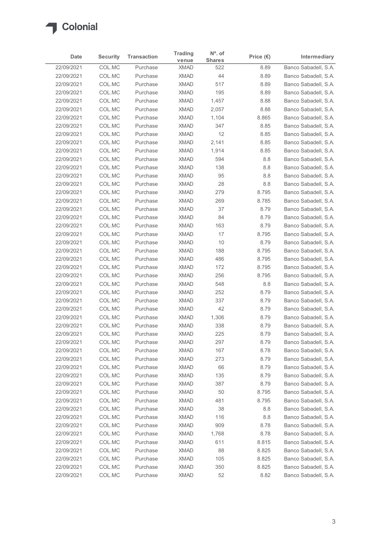

| COL.MC<br>Banco Sabadell, S.A.<br>Purchase<br><b>XMAD</b><br>522<br>8.89<br>COL.MC<br>44<br>Banco Sabadell, S.A.<br>Purchase<br><b>XMAD</b><br>8.89<br>COL.MC<br>517<br>Banco Sabadell, S.A.<br>Purchase<br><b>XMAD</b><br>8.89<br>195<br>COL.MC<br>Purchase<br><b>XMAD</b><br>8.89<br>Banco Sabadell, S.A.<br>COL.MC<br>1,457<br>Purchase<br><b>XMAD</b><br>8.88<br>Banco Sabadell, S.A.<br>22/09/2021<br>COL.MC<br>Purchase<br><b>XMAD</b><br>2,057<br>8.88<br>COL.MC<br>22/09/2021<br>Purchase<br><b>XMAD</b><br>1,104<br>8.865<br>COL.MC<br>347<br>22/09/2021<br>Purchase<br><b>XMAD</b><br>8.85<br>Banco Sabadell, S.A.<br>12<br>22/09/2021<br>COL.MC<br><b>XMAD</b><br>8.85<br>Banco Sabadell, S.A.<br>Purchase<br>COL.MC<br>Purchase<br><b>XMAD</b><br>2,141<br>8.85<br>Banco Sabadell, S.A.<br>COL.MC<br>Purchase<br><b>XMAD</b><br>1,914<br>8.85<br>Banco Sabadell, S.A.<br>COL.MC<br>594<br>Purchase<br><b>XMAD</b><br>8.8<br>COL.MC<br>Purchase<br><b>XMAD</b><br>138<br>8.8<br>Banco Sabadell, S.A.<br>COL.MC<br><b>XMAD</b><br>95<br>8.8<br>Purchase<br>COL.MC<br>Purchase<br><b>XMAD</b><br>28<br>8.8<br>COL.MC<br>279<br>8.795<br>Purchase<br><b>XMAD</b><br>COL.MC<br><b>XMAD</b><br>269<br>8.785<br>Purchase<br>37<br>COL.MC<br><b>XMAD</b><br>8.79<br>Purchase<br>COL.MC<br>84<br>8.79<br>Purchase<br><b>XMAD</b><br>22/09/2021<br>COL.MC<br>Purchase<br><b>XMAD</b><br>163<br>8.79<br>COL.MC<br><b>XMAD</b><br>17<br>8.795<br>22/09/2021<br>Purchase<br>COL.MC<br>10<br>8.79<br>22/09/2021<br>Purchase<br><b>XMAD</b><br>COL.MC<br>8.795<br>22/09/2021<br>Purchase<br><b>XMAD</b><br>188<br>22/09/2021<br>COL.MC<br><b>XMAD</b><br>486<br>8.795<br>Purchase<br>22/09/2021<br>COL.MC<br><b>XMAD</b><br>8.795<br>Purchase<br>172<br>22/09/2021<br>COL.MC<br><b>XMAD</b><br>256<br>8.795<br>Purchase<br>22/09/2021<br>COL.MC<br><b>XMAD</b><br>548<br>8.8<br>Purchase<br>252<br>22/09/2021<br>COL.MC<br><b>XMAD</b><br>8.79<br>Purchase<br>22/09/2021<br>COL.MC<br><b>XMAD</b><br>337<br>8.79<br>Purchase<br>42<br>22/09/2021<br>COL.MC<br>Purchase<br><b>XMAD</b><br>8.79<br>COL.MC<br>Purchase<br><b>XMAD</b><br>1,306<br>8.79<br>COL.MC<br><b>XMAD</b><br>338<br>8.79<br>Purchase<br>COL.MC<br><b>XMAD</b><br>225<br>8.79<br>Purchase<br>297<br>COL.MC<br><b>XMAD</b><br>8.79<br>Purchase<br>COL.MC<br><b>XMAD</b><br>167<br>8.78<br>Purchase<br>COL.MC<br>Purchase<br><b>XMAD</b><br>273<br>8.79<br>66<br>COL.MC<br>8.79<br>Purchase<br><b>XMAD</b><br>COL.MC<br><b>XMAD</b><br>135<br>8.79<br>Purchase<br>COL.MC<br>387<br>Purchase<br><b>XMAD</b><br>8.79<br>50<br>COL.MC<br><b>XMAD</b><br>8.795<br>Purchase<br>COL.MC<br><b>XMAD</b><br>481<br>8.795<br>Purchase<br>COL.MC<br>38<br>$8.8\,$<br>Purchase<br><b>XMAD</b><br>COL.MC<br>Purchase<br><b>XMAD</b><br>116<br>8.8<br>909<br>COL.MC<br>8.78<br>Purchase<br><b>XMAD</b><br>22/09/2021<br>COL.MC<br>Purchase<br><b>XMAD</b><br>1,768<br>8.78<br>22/09/2021<br>COL.MC<br>Purchase<br><b>XMAD</b><br>611<br>8.815<br>22/09/2021<br>COL.MC<br><b>XMAD</b><br>88<br>8.825<br>Purchase<br>22/09/2021<br>COL.MC<br>Purchase<br><b>XMAD</b><br>105<br>8.825 | Date                     | <b>Security</b> | <b>Transaction</b> | <b>Trading</b><br>venue | $No$ . of<br><b>Shares</b> | Price $(\epsilon)$ | Intermediary |
|-----------------------------------------------------------------------------------------------------------------------------------------------------------------------------------------------------------------------------------------------------------------------------------------------------------------------------------------------------------------------------------------------------------------------------------------------------------------------------------------------------------------------------------------------------------------------------------------------------------------------------------------------------------------------------------------------------------------------------------------------------------------------------------------------------------------------------------------------------------------------------------------------------------------------------------------------------------------------------------------------------------------------------------------------------------------------------------------------------------------------------------------------------------------------------------------------------------------------------------------------------------------------------------------------------------------------------------------------------------------------------------------------------------------------------------------------------------------------------------------------------------------------------------------------------------------------------------------------------------------------------------------------------------------------------------------------------------------------------------------------------------------------------------------------------------------------------------------------------------------------------------------------------------------------------------------------------------------------------------------------------------------------------------------------------------------------------------------------------------------------------------------------------------------------------------------------------------------------------------------------------------------------------------------------------------------------------------------------------------------------------------------------------------------------------------------------------------------------------------------------------------------------------------------------------------------------------------------------------------------------------------------------------------------------------------------------------------------------------------------------------------------------------------------------------------------------------------------------------------------------------------------------------------------------------------------------------------------------------------------------------------------------------------------------------------------------------------------------------------------------------------|--------------------------|-----------------|--------------------|-------------------------|----------------------------|--------------------|--------------|
| Banco Sabadell, S.A.<br>Banco Sabadell, S.A.<br>Banco Sabadell, S.A.<br>Banco Sabadell, S.A.<br>Banco Sabadell, S.A.<br>Banco Sabadell, S.A.<br>Banco Sabadell, S.A.<br>Banco Sabadell, S.A.<br>Banco Sabadell, S.A.<br>Banco Sabadell, S.A.<br>Banco Sabadell, S.A.<br>Banco Sabadell, S.A.<br>Banco Sabadell, S.A.<br>Banco Sabadell, S.A.<br>Banco Sabadell, S.A.<br>Banco Sabadell, S.A.<br>Banco Sabadell, S.A.<br>Banco Sabadell, S.A.<br>Banco Sabadell, S.A.<br>Banco Sabadell, S.A.<br>Banco Sabadell, S.A.<br>Banco Sabadell, S.A.<br>Banco Sabadell, S.A.<br>Banco Sabadell, S.A.<br>Banco Sabadell, S.A.<br>Banco Sabadell, S.A.<br>Banco Sabadell, S.A.<br>Banco Sabadell, S.A.<br>Banco Sabadell, S.A.<br>Banco Sabadell, S.A.<br>Banco Sabadell, S.A.<br>Banco Sabadell, S.A.<br>Banco Sabadell, S.A.<br>Banco Sabadell, S.A.<br>Banco Sabadell, S.A.<br>Banco Sabadell, S.A.<br>Banco Sabadell, S.A.<br>Banco Sabadell, S.A.                                                                                                                                                                                                                                                                                                                                                                                                                                                                                                                                                                                                                                                                                                                                                                                                                                                                                                                                                                                                                                                                                                                                                                                                                                                                                                                                                                                                                                                                                                                                                                                                                                                                                                                                                                                                                                                                                                                                                                                                                                                                                                                                                                                      | 22/09/2021               |                 |                    |                         |                            |                    |              |
|                                                                                                                                                                                                                                                                                                                                                                                                                                                                                                                                                                                                                                                                                                                                                                                                                                                                                                                                                                                                                                                                                                                                                                                                                                                                                                                                                                                                                                                                                                                                                                                                                                                                                                                                                                                                                                                                                                                                                                                                                                                                                                                                                                                                                                                                                                                                                                                                                                                                                                                                                                                                                                                                                                                                                                                                                                                                                                                                                                                                                                                                                                                                   | 22/09/2021               |                 |                    |                         |                            |                    |              |
|                                                                                                                                                                                                                                                                                                                                                                                                                                                                                                                                                                                                                                                                                                                                                                                                                                                                                                                                                                                                                                                                                                                                                                                                                                                                                                                                                                                                                                                                                                                                                                                                                                                                                                                                                                                                                                                                                                                                                                                                                                                                                                                                                                                                                                                                                                                                                                                                                                                                                                                                                                                                                                                                                                                                                                                                                                                                                                                                                                                                                                                                                                                                   | 22/09/2021               |                 |                    |                         |                            |                    |              |
|                                                                                                                                                                                                                                                                                                                                                                                                                                                                                                                                                                                                                                                                                                                                                                                                                                                                                                                                                                                                                                                                                                                                                                                                                                                                                                                                                                                                                                                                                                                                                                                                                                                                                                                                                                                                                                                                                                                                                                                                                                                                                                                                                                                                                                                                                                                                                                                                                                                                                                                                                                                                                                                                                                                                                                                                                                                                                                                                                                                                                                                                                                                                   | 22/09/2021               |                 |                    |                         |                            |                    |              |
|                                                                                                                                                                                                                                                                                                                                                                                                                                                                                                                                                                                                                                                                                                                                                                                                                                                                                                                                                                                                                                                                                                                                                                                                                                                                                                                                                                                                                                                                                                                                                                                                                                                                                                                                                                                                                                                                                                                                                                                                                                                                                                                                                                                                                                                                                                                                                                                                                                                                                                                                                                                                                                                                                                                                                                                                                                                                                                                                                                                                                                                                                                                                   | 22/09/2021               |                 |                    |                         |                            |                    |              |
|                                                                                                                                                                                                                                                                                                                                                                                                                                                                                                                                                                                                                                                                                                                                                                                                                                                                                                                                                                                                                                                                                                                                                                                                                                                                                                                                                                                                                                                                                                                                                                                                                                                                                                                                                                                                                                                                                                                                                                                                                                                                                                                                                                                                                                                                                                                                                                                                                                                                                                                                                                                                                                                                                                                                                                                                                                                                                                                                                                                                                                                                                                                                   |                          |                 |                    |                         |                            |                    |              |
|                                                                                                                                                                                                                                                                                                                                                                                                                                                                                                                                                                                                                                                                                                                                                                                                                                                                                                                                                                                                                                                                                                                                                                                                                                                                                                                                                                                                                                                                                                                                                                                                                                                                                                                                                                                                                                                                                                                                                                                                                                                                                                                                                                                                                                                                                                                                                                                                                                                                                                                                                                                                                                                                                                                                                                                                                                                                                                                                                                                                                                                                                                                                   |                          |                 |                    |                         |                            |                    |              |
|                                                                                                                                                                                                                                                                                                                                                                                                                                                                                                                                                                                                                                                                                                                                                                                                                                                                                                                                                                                                                                                                                                                                                                                                                                                                                                                                                                                                                                                                                                                                                                                                                                                                                                                                                                                                                                                                                                                                                                                                                                                                                                                                                                                                                                                                                                                                                                                                                                                                                                                                                                                                                                                                                                                                                                                                                                                                                                                                                                                                                                                                                                                                   |                          |                 |                    |                         |                            |                    |              |
|                                                                                                                                                                                                                                                                                                                                                                                                                                                                                                                                                                                                                                                                                                                                                                                                                                                                                                                                                                                                                                                                                                                                                                                                                                                                                                                                                                                                                                                                                                                                                                                                                                                                                                                                                                                                                                                                                                                                                                                                                                                                                                                                                                                                                                                                                                                                                                                                                                                                                                                                                                                                                                                                                                                                                                                                                                                                                                                                                                                                                                                                                                                                   | 22/09/2021               |                 |                    |                         |                            |                    |              |
|                                                                                                                                                                                                                                                                                                                                                                                                                                                                                                                                                                                                                                                                                                                                                                                                                                                                                                                                                                                                                                                                                                                                                                                                                                                                                                                                                                                                                                                                                                                                                                                                                                                                                                                                                                                                                                                                                                                                                                                                                                                                                                                                                                                                                                                                                                                                                                                                                                                                                                                                                                                                                                                                                                                                                                                                                                                                                                                                                                                                                                                                                                                                   | 22/09/2021               |                 |                    |                         |                            |                    |              |
|                                                                                                                                                                                                                                                                                                                                                                                                                                                                                                                                                                                                                                                                                                                                                                                                                                                                                                                                                                                                                                                                                                                                                                                                                                                                                                                                                                                                                                                                                                                                                                                                                                                                                                                                                                                                                                                                                                                                                                                                                                                                                                                                                                                                                                                                                                                                                                                                                                                                                                                                                                                                                                                                                                                                                                                                                                                                                                                                                                                                                                                                                                                                   | 22/09/2021               |                 |                    |                         |                            |                    |              |
|                                                                                                                                                                                                                                                                                                                                                                                                                                                                                                                                                                                                                                                                                                                                                                                                                                                                                                                                                                                                                                                                                                                                                                                                                                                                                                                                                                                                                                                                                                                                                                                                                                                                                                                                                                                                                                                                                                                                                                                                                                                                                                                                                                                                                                                                                                                                                                                                                                                                                                                                                                                                                                                                                                                                                                                                                                                                                                                                                                                                                                                                                                                                   | 22/09/2021               |                 |                    |                         |                            |                    |              |
|                                                                                                                                                                                                                                                                                                                                                                                                                                                                                                                                                                                                                                                                                                                                                                                                                                                                                                                                                                                                                                                                                                                                                                                                                                                                                                                                                                                                                                                                                                                                                                                                                                                                                                                                                                                                                                                                                                                                                                                                                                                                                                                                                                                                                                                                                                                                                                                                                                                                                                                                                                                                                                                                                                                                                                                                                                                                                                                                                                                                                                                                                                                                   | 22/09/2021               |                 |                    |                         |                            |                    |              |
|                                                                                                                                                                                                                                                                                                                                                                                                                                                                                                                                                                                                                                                                                                                                                                                                                                                                                                                                                                                                                                                                                                                                                                                                                                                                                                                                                                                                                                                                                                                                                                                                                                                                                                                                                                                                                                                                                                                                                                                                                                                                                                                                                                                                                                                                                                                                                                                                                                                                                                                                                                                                                                                                                                                                                                                                                                                                                                                                                                                                                                                                                                                                   | 22/09/2021               |                 |                    |                         |                            |                    |              |
|                                                                                                                                                                                                                                                                                                                                                                                                                                                                                                                                                                                                                                                                                                                                                                                                                                                                                                                                                                                                                                                                                                                                                                                                                                                                                                                                                                                                                                                                                                                                                                                                                                                                                                                                                                                                                                                                                                                                                                                                                                                                                                                                                                                                                                                                                                                                                                                                                                                                                                                                                                                                                                                                                                                                                                                                                                                                                                                                                                                                                                                                                                                                   | 22/09/2021               |                 |                    |                         |                            |                    |              |
|                                                                                                                                                                                                                                                                                                                                                                                                                                                                                                                                                                                                                                                                                                                                                                                                                                                                                                                                                                                                                                                                                                                                                                                                                                                                                                                                                                                                                                                                                                                                                                                                                                                                                                                                                                                                                                                                                                                                                                                                                                                                                                                                                                                                                                                                                                                                                                                                                                                                                                                                                                                                                                                                                                                                                                                                                                                                                                                                                                                                                                                                                                                                   | 22/09/2021               |                 |                    |                         |                            |                    |              |
|                                                                                                                                                                                                                                                                                                                                                                                                                                                                                                                                                                                                                                                                                                                                                                                                                                                                                                                                                                                                                                                                                                                                                                                                                                                                                                                                                                                                                                                                                                                                                                                                                                                                                                                                                                                                                                                                                                                                                                                                                                                                                                                                                                                                                                                                                                                                                                                                                                                                                                                                                                                                                                                                                                                                                                                                                                                                                                                                                                                                                                                                                                                                   | 22/09/2021               |                 |                    |                         |                            |                    |              |
|                                                                                                                                                                                                                                                                                                                                                                                                                                                                                                                                                                                                                                                                                                                                                                                                                                                                                                                                                                                                                                                                                                                                                                                                                                                                                                                                                                                                                                                                                                                                                                                                                                                                                                                                                                                                                                                                                                                                                                                                                                                                                                                                                                                                                                                                                                                                                                                                                                                                                                                                                                                                                                                                                                                                                                                                                                                                                                                                                                                                                                                                                                                                   | 22/09/2021               |                 |                    |                         |                            |                    |              |
|                                                                                                                                                                                                                                                                                                                                                                                                                                                                                                                                                                                                                                                                                                                                                                                                                                                                                                                                                                                                                                                                                                                                                                                                                                                                                                                                                                                                                                                                                                                                                                                                                                                                                                                                                                                                                                                                                                                                                                                                                                                                                                                                                                                                                                                                                                                                                                                                                                                                                                                                                                                                                                                                                                                                                                                                                                                                                                                                                                                                                                                                                                                                   |                          |                 |                    |                         |                            |                    |              |
|                                                                                                                                                                                                                                                                                                                                                                                                                                                                                                                                                                                                                                                                                                                                                                                                                                                                                                                                                                                                                                                                                                                                                                                                                                                                                                                                                                                                                                                                                                                                                                                                                                                                                                                                                                                                                                                                                                                                                                                                                                                                                                                                                                                                                                                                                                                                                                                                                                                                                                                                                                                                                                                                                                                                                                                                                                                                                                                                                                                                                                                                                                                                   |                          |                 |                    |                         |                            |                    |              |
|                                                                                                                                                                                                                                                                                                                                                                                                                                                                                                                                                                                                                                                                                                                                                                                                                                                                                                                                                                                                                                                                                                                                                                                                                                                                                                                                                                                                                                                                                                                                                                                                                                                                                                                                                                                                                                                                                                                                                                                                                                                                                                                                                                                                                                                                                                                                                                                                                                                                                                                                                                                                                                                                                                                                                                                                                                                                                                                                                                                                                                                                                                                                   |                          |                 |                    |                         |                            |                    |              |
|                                                                                                                                                                                                                                                                                                                                                                                                                                                                                                                                                                                                                                                                                                                                                                                                                                                                                                                                                                                                                                                                                                                                                                                                                                                                                                                                                                                                                                                                                                                                                                                                                                                                                                                                                                                                                                                                                                                                                                                                                                                                                                                                                                                                                                                                                                                                                                                                                                                                                                                                                                                                                                                                                                                                                                                                                                                                                                                                                                                                                                                                                                                                   |                          |                 |                    |                         |                            |                    |              |
|                                                                                                                                                                                                                                                                                                                                                                                                                                                                                                                                                                                                                                                                                                                                                                                                                                                                                                                                                                                                                                                                                                                                                                                                                                                                                                                                                                                                                                                                                                                                                                                                                                                                                                                                                                                                                                                                                                                                                                                                                                                                                                                                                                                                                                                                                                                                                                                                                                                                                                                                                                                                                                                                                                                                                                                                                                                                                                                                                                                                                                                                                                                                   |                          |                 |                    |                         |                            |                    |              |
|                                                                                                                                                                                                                                                                                                                                                                                                                                                                                                                                                                                                                                                                                                                                                                                                                                                                                                                                                                                                                                                                                                                                                                                                                                                                                                                                                                                                                                                                                                                                                                                                                                                                                                                                                                                                                                                                                                                                                                                                                                                                                                                                                                                                                                                                                                                                                                                                                                                                                                                                                                                                                                                                                                                                                                                                                                                                                                                                                                                                                                                                                                                                   |                          |                 |                    |                         |                            |                    |              |
|                                                                                                                                                                                                                                                                                                                                                                                                                                                                                                                                                                                                                                                                                                                                                                                                                                                                                                                                                                                                                                                                                                                                                                                                                                                                                                                                                                                                                                                                                                                                                                                                                                                                                                                                                                                                                                                                                                                                                                                                                                                                                                                                                                                                                                                                                                                                                                                                                                                                                                                                                                                                                                                                                                                                                                                                                                                                                                                                                                                                                                                                                                                                   |                          |                 |                    |                         |                            |                    |              |
|                                                                                                                                                                                                                                                                                                                                                                                                                                                                                                                                                                                                                                                                                                                                                                                                                                                                                                                                                                                                                                                                                                                                                                                                                                                                                                                                                                                                                                                                                                                                                                                                                                                                                                                                                                                                                                                                                                                                                                                                                                                                                                                                                                                                                                                                                                                                                                                                                                                                                                                                                                                                                                                                                                                                                                                                                                                                                                                                                                                                                                                                                                                                   |                          |                 |                    |                         |                            |                    |              |
|                                                                                                                                                                                                                                                                                                                                                                                                                                                                                                                                                                                                                                                                                                                                                                                                                                                                                                                                                                                                                                                                                                                                                                                                                                                                                                                                                                                                                                                                                                                                                                                                                                                                                                                                                                                                                                                                                                                                                                                                                                                                                                                                                                                                                                                                                                                                                                                                                                                                                                                                                                                                                                                                                                                                                                                                                                                                                                                                                                                                                                                                                                                                   |                          |                 |                    |                         |                            |                    |              |
|                                                                                                                                                                                                                                                                                                                                                                                                                                                                                                                                                                                                                                                                                                                                                                                                                                                                                                                                                                                                                                                                                                                                                                                                                                                                                                                                                                                                                                                                                                                                                                                                                                                                                                                                                                                                                                                                                                                                                                                                                                                                                                                                                                                                                                                                                                                                                                                                                                                                                                                                                                                                                                                                                                                                                                                                                                                                                                                                                                                                                                                                                                                                   |                          |                 |                    |                         |                            |                    |              |
|                                                                                                                                                                                                                                                                                                                                                                                                                                                                                                                                                                                                                                                                                                                                                                                                                                                                                                                                                                                                                                                                                                                                                                                                                                                                                                                                                                                                                                                                                                                                                                                                                                                                                                                                                                                                                                                                                                                                                                                                                                                                                                                                                                                                                                                                                                                                                                                                                                                                                                                                                                                                                                                                                                                                                                                                                                                                                                                                                                                                                                                                                                                                   | 22/09/2021               |                 |                    |                         |                            |                    |              |
|                                                                                                                                                                                                                                                                                                                                                                                                                                                                                                                                                                                                                                                                                                                                                                                                                                                                                                                                                                                                                                                                                                                                                                                                                                                                                                                                                                                                                                                                                                                                                                                                                                                                                                                                                                                                                                                                                                                                                                                                                                                                                                                                                                                                                                                                                                                                                                                                                                                                                                                                                                                                                                                                                                                                                                                                                                                                                                                                                                                                                                                                                                                                   | 22/09/2021               |                 |                    |                         |                            |                    |              |
|                                                                                                                                                                                                                                                                                                                                                                                                                                                                                                                                                                                                                                                                                                                                                                                                                                                                                                                                                                                                                                                                                                                                                                                                                                                                                                                                                                                                                                                                                                                                                                                                                                                                                                                                                                                                                                                                                                                                                                                                                                                                                                                                                                                                                                                                                                                                                                                                                                                                                                                                                                                                                                                                                                                                                                                                                                                                                                                                                                                                                                                                                                                                   | 22/09/2021               |                 |                    |                         |                            |                    |              |
|                                                                                                                                                                                                                                                                                                                                                                                                                                                                                                                                                                                                                                                                                                                                                                                                                                                                                                                                                                                                                                                                                                                                                                                                                                                                                                                                                                                                                                                                                                                                                                                                                                                                                                                                                                                                                                                                                                                                                                                                                                                                                                                                                                                                                                                                                                                                                                                                                                                                                                                                                                                                                                                                                                                                                                                                                                                                                                                                                                                                                                                                                                                                   | 22/09/2021               |                 |                    |                         |                            |                    |              |
|                                                                                                                                                                                                                                                                                                                                                                                                                                                                                                                                                                                                                                                                                                                                                                                                                                                                                                                                                                                                                                                                                                                                                                                                                                                                                                                                                                                                                                                                                                                                                                                                                                                                                                                                                                                                                                                                                                                                                                                                                                                                                                                                                                                                                                                                                                                                                                                                                                                                                                                                                                                                                                                                                                                                                                                                                                                                                                                                                                                                                                                                                                                                   | 22/09/2021               |                 |                    |                         |                            |                    |              |
|                                                                                                                                                                                                                                                                                                                                                                                                                                                                                                                                                                                                                                                                                                                                                                                                                                                                                                                                                                                                                                                                                                                                                                                                                                                                                                                                                                                                                                                                                                                                                                                                                                                                                                                                                                                                                                                                                                                                                                                                                                                                                                                                                                                                                                                                                                                                                                                                                                                                                                                                                                                                                                                                                                                                                                                                                                                                                                                                                                                                                                                                                                                                   | 22/09/2021               |                 |                    |                         |                            |                    |              |
|                                                                                                                                                                                                                                                                                                                                                                                                                                                                                                                                                                                                                                                                                                                                                                                                                                                                                                                                                                                                                                                                                                                                                                                                                                                                                                                                                                                                                                                                                                                                                                                                                                                                                                                                                                                                                                                                                                                                                                                                                                                                                                                                                                                                                                                                                                                                                                                                                                                                                                                                                                                                                                                                                                                                                                                                                                                                                                                                                                                                                                                                                                                                   | 22/09/2021               |                 |                    |                         |                            |                    |              |
|                                                                                                                                                                                                                                                                                                                                                                                                                                                                                                                                                                                                                                                                                                                                                                                                                                                                                                                                                                                                                                                                                                                                                                                                                                                                                                                                                                                                                                                                                                                                                                                                                                                                                                                                                                                                                                                                                                                                                                                                                                                                                                                                                                                                                                                                                                                                                                                                                                                                                                                                                                                                                                                                                                                                                                                                                                                                                                                                                                                                                                                                                                                                   | 22/09/2021               |                 |                    |                         |                            |                    |              |
|                                                                                                                                                                                                                                                                                                                                                                                                                                                                                                                                                                                                                                                                                                                                                                                                                                                                                                                                                                                                                                                                                                                                                                                                                                                                                                                                                                                                                                                                                                                                                                                                                                                                                                                                                                                                                                                                                                                                                                                                                                                                                                                                                                                                                                                                                                                                                                                                                                                                                                                                                                                                                                                                                                                                                                                                                                                                                                                                                                                                                                                                                                                                   | 22/09/2021               |                 |                    |                         |                            |                    |              |
|                                                                                                                                                                                                                                                                                                                                                                                                                                                                                                                                                                                                                                                                                                                                                                                                                                                                                                                                                                                                                                                                                                                                                                                                                                                                                                                                                                                                                                                                                                                                                                                                                                                                                                                                                                                                                                                                                                                                                                                                                                                                                                                                                                                                                                                                                                                                                                                                                                                                                                                                                                                                                                                                                                                                                                                                                                                                                                                                                                                                                                                                                                                                   | 22/09/2021               |                 |                    |                         |                            |                    |              |
|                                                                                                                                                                                                                                                                                                                                                                                                                                                                                                                                                                                                                                                                                                                                                                                                                                                                                                                                                                                                                                                                                                                                                                                                                                                                                                                                                                                                                                                                                                                                                                                                                                                                                                                                                                                                                                                                                                                                                                                                                                                                                                                                                                                                                                                                                                                                                                                                                                                                                                                                                                                                                                                                                                                                                                                                                                                                                                                                                                                                                                                                                                                                   | 22/09/2021               |                 |                    |                         |                            |                    |              |
|                                                                                                                                                                                                                                                                                                                                                                                                                                                                                                                                                                                                                                                                                                                                                                                                                                                                                                                                                                                                                                                                                                                                                                                                                                                                                                                                                                                                                                                                                                                                                                                                                                                                                                                                                                                                                                                                                                                                                                                                                                                                                                                                                                                                                                                                                                                                                                                                                                                                                                                                                                                                                                                                                                                                                                                                                                                                                                                                                                                                                                                                                                                                   | 22/09/2021               |                 |                    |                         |                            |                    |              |
|                                                                                                                                                                                                                                                                                                                                                                                                                                                                                                                                                                                                                                                                                                                                                                                                                                                                                                                                                                                                                                                                                                                                                                                                                                                                                                                                                                                                                                                                                                                                                                                                                                                                                                                                                                                                                                                                                                                                                                                                                                                                                                                                                                                                                                                                                                                                                                                                                                                                                                                                                                                                                                                                                                                                                                                                                                                                                                                                                                                                                                                                                                                                   | 22/09/2021               |                 |                    |                         |                            |                    |              |
|                                                                                                                                                                                                                                                                                                                                                                                                                                                                                                                                                                                                                                                                                                                                                                                                                                                                                                                                                                                                                                                                                                                                                                                                                                                                                                                                                                                                                                                                                                                                                                                                                                                                                                                                                                                                                                                                                                                                                                                                                                                                                                                                                                                                                                                                                                                                                                                                                                                                                                                                                                                                                                                                                                                                                                                                                                                                                                                                                                                                                                                                                                                                   | 22/09/2021               |                 |                    |                         |                            |                    |              |
|                                                                                                                                                                                                                                                                                                                                                                                                                                                                                                                                                                                                                                                                                                                                                                                                                                                                                                                                                                                                                                                                                                                                                                                                                                                                                                                                                                                                                                                                                                                                                                                                                                                                                                                                                                                                                                                                                                                                                                                                                                                                                                                                                                                                                                                                                                                                                                                                                                                                                                                                                                                                                                                                                                                                                                                                                                                                                                                                                                                                                                                                                                                                   |                          |                 |                    |                         |                            |                    |              |
|                                                                                                                                                                                                                                                                                                                                                                                                                                                                                                                                                                                                                                                                                                                                                                                                                                                                                                                                                                                                                                                                                                                                                                                                                                                                                                                                                                                                                                                                                                                                                                                                                                                                                                                                                                                                                                                                                                                                                                                                                                                                                                                                                                                                                                                                                                                                                                                                                                                                                                                                                                                                                                                                                                                                                                                                                                                                                                                                                                                                                                                                                                                                   |                          |                 |                    |                         |                            |                    |              |
|                                                                                                                                                                                                                                                                                                                                                                                                                                                                                                                                                                                                                                                                                                                                                                                                                                                                                                                                                                                                                                                                                                                                                                                                                                                                                                                                                                                                                                                                                                                                                                                                                                                                                                                                                                                                                                                                                                                                                                                                                                                                                                                                                                                                                                                                                                                                                                                                                                                                                                                                                                                                                                                                                                                                                                                                                                                                                                                                                                                                                                                                                                                                   |                          |                 |                    |                         |                            |                    |              |
|                                                                                                                                                                                                                                                                                                                                                                                                                                                                                                                                                                                                                                                                                                                                                                                                                                                                                                                                                                                                                                                                                                                                                                                                                                                                                                                                                                                                                                                                                                                                                                                                                                                                                                                                                                                                                                                                                                                                                                                                                                                                                                                                                                                                                                                                                                                                                                                                                                                                                                                                                                                                                                                                                                                                                                                                                                                                                                                                                                                                                                                                                                                                   |                          |                 |                    |                         |                            |                    |              |
| COLMC<br>Purchase<br><b>XMAD</b><br>350<br>Banco Sabadell, S.A.<br>8.825<br>COLMC<br><b>XMAD</b><br>52<br>8.82<br>Banco Sabadell, S.A.<br>Purchase                                                                                                                                                                                                                                                                                                                                                                                                                                                                                                                                                                                                                                                                                                                                                                                                                                                                                                                                                                                                                                                                                                                                                                                                                                                                                                                                                                                                                                                                                                                                                                                                                                                                                                                                                                                                                                                                                                                                                                                                                                                                                                                                                                                                                                                                                                                                                                                                                                                                                                                                                                                                                                                                                                                                                                                                                                                                                                                                                                                | 22/09/2021<br>22/09/2021 |                 |                    |                         |                            |                    |              |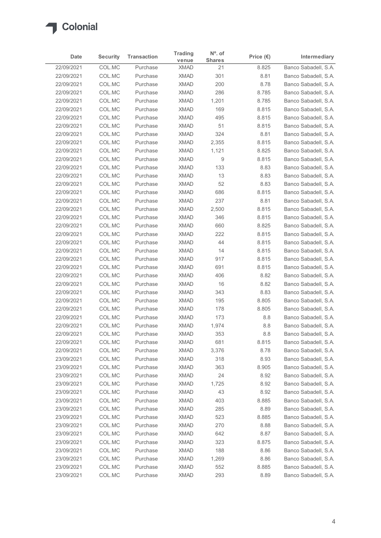

|                          | <b>Security</b>  | <b>Transaction</b>   | <b>Trading</b>             | $N^{\circ}$ . of    | Price $(\epsilon)$ | Intermediary                                 |
|--------------------------|------------------|----------------------|----------------------------|---------------------|--------------------|----------------------------------------------|
| Date<br>22/09/2021       | COL.MC           | Purchase             | venue<br><b>XMAD</b>       | <b>Shares</b><br>21 | 8.825              | Banco Sabadell, S.A.                         |
| 22/09/2021               | COL.MC           | Purchase             | <b>XMAD</b>                | 301                 | 8.81               | Banco Sabadell, S.A.                         |
| 22/09/2021               | COL.MC           | Purchase             | <b>XMAD</b>                | 200                 | 8.78               | Banco Sabadell, S.A.                         |
| 22/09/2021               | COL.MC           | Purchase             | <b>XMAD</b>                | 286                 | 8.785              | Banco Sabadell, S.A.                         |
| 22/09/2021               | COL.MC           | Purchase             | <b>XMAD</b>                | 1,201               | 8.785              | Banco Sabadell, S.A.                         |
| 22/09/2021               | COL.MC           | Purchase             | <b>XMAD</b>                | 169                 | 8.815              | Banco Sabadell, S.A.                         |
| 22/09/2021               | COL.MC           | Purchase             | <b>XMAD</b>                | 495                 | 8.815              | Banco Sabadell, S.A.                         |
| 22/09/2021               | COL.MC           | Purchase             | <b>XMAD</b>                | 51                  | 8.815              | Banco Sabadell, S.A.                         |
| 22/09/2021               | COL.MC           | Purchase             | <b>XMAD</b>                | 324                 | 8.81               | Banco Sabadell, S.A.                         |
| 22/09/2021<br>22/09/2021 | COL.MC<br>COL.MC | Purchase<br>Purchase | <b>XMAD</b><br><b>XMAD</b> | 2,355<br>1,121      | 8.815<br>8.825     | Banco Sabadell, S.A.<br>Banco Sabadell, S.A. |
| 22/09/2021               | COL.MC           | Purchase             | <b>XMAD</b>                | 9                   | 8.815              | Banco Sabadell, S.A.                         |
| 22/09/2021               | COL.MC           | Purchase             | <b>XMAD</b>                | 133                 | 8.83               | Banco Sabadell, S.A.                         |
| 22/09/2021               | COL.MC           | Purchase             | <b>XMAD</b>                | 13                  | 8.83               | Banco Sabadell, S.A.                         |
| 22/09/2021               | COL.MC           | Purchase             | <b>XMAD</b>                | 52                  | 8.83               | Banco Sabadell, S.A.                         |
| 22/09/2021               | COL.MC           | Purchase             | XMAD                       | 686                 | 8.815              | Banco Sabadell, S.A.                         |
| 22/09/2021               | COL.MC           | Purchase             | <b>XMAD</b>                | 237                 | 8.81               | Banco Sabadell, S.A.                         |
| 22/09/2021               | COL.MC           | Purchase             | <b>XMAD</b>                | 2,500               | 8.815              | Banco Sabadell, S.A.                         |
| 22/09/2021               | COL.MC           | Purchase             | <b>XMAD</b>                | 346                 | 8.815              | Banco Sabadell, S.A.                         |
| 22/09/2021               | COL.MC           | Purchase             | <b>XMAD</b>                | 660                 | 8.825              | Banco Sabadell, S.A.                         |
| 22/09/2021<br>22/09/2021 | COL.MC<br>COL.MC | Purchase<br>Purchase | <b>XMAD</b><br>XMAD        | 222<br>44           | 8.815<br>8.815     | Banco Sabadell, S.A.<br>Banco Sabadell, S.A. |
| 22/09/2021               | COL.MC           | Purchase             | <b>XMAD</b>                | 14                  | 8.815              | Banco Sabadell, S.A.                         |
| 22/09/2021               | COL.MC           | Purchase             | <b>XMAD</b>                | 917                 | 8.815              | Banco Sabadell, S.A.                         |
| 22/09/2021               | COL.MC           | Purchase             | <b>XMAD</b>                | 691                 | 8.815              | Banco Sabadell, S.A.                         |
| 22/09/2021               | COL.MC           | Purchase             | <b>XMAD</b>                | 406                 | 8.82               | Banco Sabadell, S.A.                         |
| 22/09/2021               | COL.MC           | Purchase             | <b>XMAD</b>                | 16                  | 8.82               | Banco Sabadell, S.A.                         |
| 22/09/2021               | COL.MC           | Purchase             | <b>XMAD</b>                | 343                 | 8.83               | Banco Sabadell, S.A.                         |
| 22/09/2021               | COL.MC           | Purchase             | <b>XMAD</b>                | 195                 | 8.805              | Banco Sabadell, S.A.                         |
| 22/09/2021               | COL.MC           | Purchase             | <b>XMAD</b>                | 178                 | 8.805              | Banco Sabadell, S.A.                         |
| 22/09/2021               | COL.MC           | Purchase             | <b>XMAD</b>                | 173                 | 8.8                | Banco Sabadell, S.A.                         |
| 22/09/2021<br>22/09/2021 | COL.MC<br>COL.MC | Purchase<br>Purchase | <b>XMAD</b><br><b>XMAD</b> | 1,974<br>353        | 8.8<br>8.8         | Banco Sabadell, S.A.<br>Banco Sabadell, S.A. |
| 22/09/2021               | COL.MC           | Purchase             | <b>XMAD</b>                | 681                 | 8.815              | Banco Sabadell, S.A.                         |
| 22/09/2021               | COL.MC           | Purchase             | <b>XMAD</b>                | 3,376               | 8.78               | Banco Sabadell, S.A.                         |
| 23/09/2021               | COL.MC           | Purchase             | <b>XMAD</b>                | 318                 | 8.93               | Banco Sabadell, S.A.                         |
| 23/09/2021               | COL.MC           | Purchase             | <b>XMAD</b>                | 363                 | 8.905              | Banco Sabadell, S.A.                         |
| 23/09/2021               | COL.MC           | Purchase             | <b>XMAD</b>                | 24                  | 8.92               | Banco Sabadell, S.A.                         |
| 23/09/2021               | COL.MC           | Purchase             | <b>XMAD</b>                | 1,725               | 8.92               | Banco Sabadell, S.A.                         |
| 23/09/2021               | COL.MC           | Purchase             | <b>XMAD</b>                | 43                  | 8.92               | Banco Sabadell, S.A.                         |
| 23/09/2021               | COL.MC           | Purchase             | <b>XMAD</b>                | 403                 | 8.885              | Banco Sabadell, S.A.                         |
| 23/09/2021               | COL.MC           | Purchase             | <b>XMAD</b>                | 285                 | 8.89               | Banco Sabadell, S.A.                         |
| 23/09/2021               | COL.MC           | Purchase             | <b>XMAD</b>                | 523                 | 8.885              | Banco Sabadell, S.A.                         |
| 23/09/2021               | COL.MC           | Purchase             | <b>XMAD</b>                | 270                 | 8.88               | Banco Sabadell, S.A.                         |
| 23/09/2021               | COL.MC           | Purchase             | <b>XMAD</b><br><b>XMAD</b> | 642<br>323          | 8.87<br>8.875      | Banco Sabadell, S.A.<br>Banco Sabadell, S.A. |
| 23/09/2021<br>23/09/2021 | COL.MC<br>COL.MC | Purchase<br>Purchase | <b>XMAD</b>                | 188                 | 8.86               | Banco Sabadell, S.A.                         |
| 23/09/2021               | COL.MC           | Purchase             | <b>XMAD</b>                | 1,269               | 8.86               | Banco Sabadell, S.A.                         |
| 23/09/2021               | COL.MC           | Purchase             | <b>XMAD</b>                | 552                 | 8.885              | Banco Sabadell, S.A.                         |
|                          | COL.MC           | Purchase             | <b>XMAD</b>                | 293                 | 8.89               | Banco Sabadell, S.A.                         |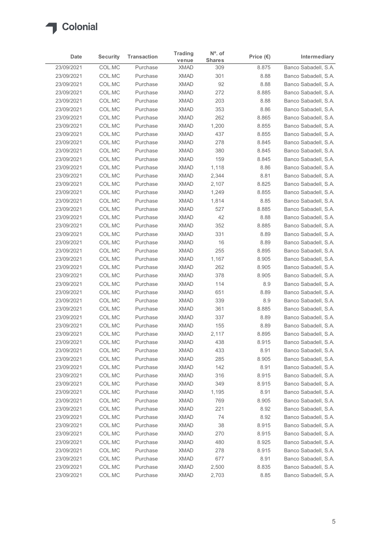

|                          |                           |                                | <b>Trading</b>             | $N^{\circ}$ . of     |                             |                                              |
|--------------------------|---------------------------|--------------------------------|----------------------------|----------------------|-----------------------------|----------------------------------------------|
| Date<br>23/09/2021       | <b>Security</b><br>COL.MC | <b>Transaction</b><br>Purchase | venue<br><b>XMAD</b>       | <b>Shares</b><br>309 | Price $(\epsilon)$<br>8.875 | Intermediary<br>Banco Sabadell, S.A.         |
| 23/09/2021               | COL.MC                    | Purchase                       | <b>XMAD</b>                | 301                  | 8.88                        | Banco Sabadell, S.A.                         |
| 23/09/2021               | COL.MC                    | Purchase                       | <b>XMAD</b>                | 92                   | 8.88                        | Banco Sabadell, S.A.                         |
| 23/09/2021               | COL.MC                    | Purchase                       | <b>XMAD</b>                | 272                  | 8.885                       | Banco Sabadell, S.A.                         |
| 23/09/2021               | COL.MC                    | Purchase                       | <b>XMAD</b>                | 203                  | 8.88                        | Banco Sabadell, S.A.                         |
| 23/09/2021               | COL.MC                    | Purchase                       | <b>XMAD</b>                | 353                  | 8.86                        | Banco Sabadell, S.A.                         |
| 23/09/2021<br>23/09/2021 | COL.MC<br>COL.MC          | Purchase<br>Purchase           | <b>XMAD</b><br><b>XMAD</b> | 262<br>1,200         | 8.865<br>8.855              | Banco Sabadell, S.A.<br>Banco Sabadell, S.A. |
| 23/09/2021               | COL.MC                    | Purchase                       | <b>XMAD</b>                | 437                  | 8.855                       | Banco Sabadell, S.A.                         |
| 23/09/2021               | COL.MC                    | Purchase                       | <b>XMAD</b>                | 278                  | 8.845                       | Banco Sabadell, S.A.                         |
| 23/09/2021               | COL.MC                    | Purchase                       | <b>XMAD</b>                | 380                  | 8.845                       | Banco Sabadell, S.A.                         |
| 23/09/2021               | COL.MC                    | Purchase                       | <b>XMAD</b>                | 159                  | 8.845                       | Banco Sabadell, S.A.                         |
| 23/09/2021               | COL.MC                    | Purchase                       | <b>XMAD</b>                | 1,118                | 8.86                        | Banco Sabadell, S.A.                         |
| 23/09/2021<br>23/09/2021 | COL.MC                    | Purchase                       | <b>XMAD</b>                | 2,344                | 8.81                        | Banco Sabadell, S.A.<br>Banco Sabadell, S.A. |
| 23/09/2021               | COL.MC<br>COL.MC          | Purchase<br>Purchase           | <b>XMAD</b><br>XMAD        | 2,107<br>1,249       | 8.825<br>8.855              | Banco Sabadell, S.A.                         |
| 23/09/2021               | COL.MC                    | Purchase                       | <b>XMAD</b>                | 1,814                | 8.85                        | Banco Sabadell, S.A.                         |
| 23/09/2021               | COL.MC                    | Purchase                       | <b>XMAD</b>                | 527                  | 8.885                       | Banco Sabadell, S.A.                         |
| 23/09/2021               | COL.MC                    | Purchase                       | <b>XMAD</b>                | 42                   | 8.88                        | Banco Sabadell, S.A.                         |
| 23/09/2021               | COL.MC                    | Purchase                       | <b>XMAD</b>                | 352                  | 8.885                       | Banco Sabadell, S.A.                         |
| 23/09/2021               | COL.MC                    | Purchase                       | <b>XMAD</b>                | 331                  | 8.89                        | Banco Sabadell, S.A.                         |
| 23/09/2021               | COL.MC                    | Purchase                       | XMAD                       | 16                   | 8.89                        | Banco Sabadell, S.A.                         |
| 23/09/2021<br>23/09/2021 | COL.MC<br>COL.MC          | Purchase<br>Purchase           | <b>XMAD</b><br><b>XMAD</b> | 255<br>1,167         | 8.895<br>8.905              | Banco Sabadell, S.A.<br>Banco Sabadell, S.A. |
| 23/09/2021               | COL.MC                    | Purchase                       | <b>XMAD</b>                | 262                  | 8.905                       | Banco Sabadell, S.A.                         |
| 23/09/2021               | COL.MC                    | Purchase                       | <b>XMAD</b>                | 378                  | 8.905                       | Banco Sabadell, S.A.                         |
| 23/09/2021               | COL.MC                    | Purchase                       | <b>XMAD</b>                | 114                  | 8.9                         | Banco Sabadell, S.A.                         |
| 23/09/2021               | COL.MC                    | Purchase                       | <b>XMAD</b>                | 651                  | 8.89                        | Banco Sabadell, S.A.                         |
| 23/09/2021               | COL.MC                    | Purchase                       | <b>XMAD</b>                | 339                  | 8.9                         | Banco Sabadell, S.A.                         |
| 23/09/2021               | COL.MC                    | Purchase                       | <b>XMAD</b>                | 361                  | 8.885                       | Banco Sabadell, S.A.                         |
| 23/09/2021               | COL.MC                    | Purchase                       | <b>XMAD</b>                | 337                  | 8.89                        | Banco Sabadell, S.A.                         |
| 23/09/2021<br>23/09/2021 | COL.MC<br>COL.MC          | Purchase<br>Purchase           | <b>XMAD</b><br><b>XMAD</b> | 155<br>2,117         | 8.89<br>8.895               | Banco Sabadell, S.A.<br>Banco Sabadell, S.A. |
| 23/09/2021               | COL.MC                    | Purchase                       | <b>XMAD</b>                | 438                  | 8.915                       | Banco Sabadell, S.A.                         |
| 23/09/2021               | COL.MC                    | Purchase                       | <b>XMAD</b>                | 433                  | 8.91                        | Banco Sabadell, S.A.                         |
| 23/09/2021               | COL.MC                    | Purchase                       | <b>XMAD</b>                | 285                  | 8.905                       | Banco Sabadell, S.A.                         |
| 23/09/2021               | COL.MC                    | Purchase                       | <b>XMAD</b>                | 142                  | 8.91                        | Banco Sabadell, S.A.                         |
| 23/09/2021               | COL.MC                    | Purchase                       | <b>XMAD</b>                | 316                  | 8.915                       | Banco Sabadell, S.A.                         |
| 23/09/2021               | COL.MC                    | Purchase                       | <b>XMAD</b>                | 349                  | 8.915                       | Banco Sabadell, S.A.                         |
| 23/09/2021               | COL.MC                    | Purchase                       | <b>XMAD</b>                | 1,195                | 8.91                        | Banco Sabadell, S.A.                         |
| 23/09/2021<br>23/09/2021 | COL.MC<br>COL.MC          | Purchase<br>Purchase           | <b>XMAD</b><br><b>XMAD</b> | 769<br>221           | 8.905<br>8.92               | Banco Sabadell, S.A.<br>Banco Sabadell, S.A. |
| 23/09/2021               | COL.MC                    | Purchase                       | <b>XMAD</b>                | 74                   | 8.92                        | Banco Sabadell, S.A.                         |
| 23/09/2021               | COL.MC                    | Purchase                       | <b>XMAD</b>                | 38                   | 8.915                       | Banco Sabadell, S.A.                         |
| 23/09/2021               | COL.MC                    | Purchase                       | <b>XMAD</b>                | 270                  | 8.915                       | Banco Sabadell, S.A.                         |
| 23/09/2021               | COL.MC                    | Purchase                       | <b>XMAD</b>                | 480                  | 8.925                       | Banco Sabadell, S.A.                         |
| 23/09/2021               | COL.MC                    | Purchase                       | <b>XMAD</b>                | 278                  | 8.915                       | Banco Sabadell, S.A.                         |
| 23/09/2021               | COL.MC                    | Purchase                       | <b>XMAD</b>                | 677                  | 8.91                        | Banco Sabadell, S.A.                         |
| 23/09/2021               | COL.MC                    | Purchase                       | <b>XMAD</b>                | 2,500                | 8.835                       | Banco Sabadell, S.A.                         |
| 23/09/2021               | COL.MC                    | Purchase                       | <b>XMAD</b>                | 2,703                | 8.85                        | Banco Sabadell, S.A.                         |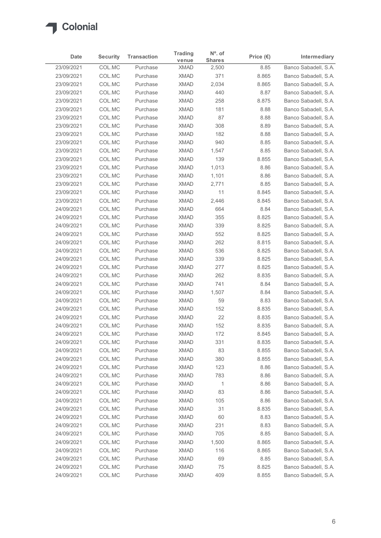

| Date                     | <b>Security</b>  | <b>Transaction</b>   | <b>Trading</b>             | N°. of                 | Price $(\epsilon)$ | Intermediary                                 |
|--------------------------|------------------|----------------------|----------------------------|------------------------|--------------------|----------------------------------------------|
| 23/09/2021               | COL.MC           | Purchase             | venue<br><b>XMAD</b>       | <b>Shares</b><br>2,500 | 8.85               | Banco Sabadell, S.A.                         |
| 23/09/2021               | COL.MC           | Purchase             | <b>XMAD</b>                | 371                    | 8.865              | Banco Sabadell, S.A.                         |
| 23/09/2021               | COL.MC           | Purchase             | <b>XMAD</b>                | 2,034                  | 8.865              | Banco Sabadell, S.A.                         |
| 23/09/2021               | COL.MC           | Purchase             | <b>XMAD</b>                | 440                    | 8.87               | Banco Sabadell, S.A.                         |
| 23/09/2021               | COL.MC           | Purchase             | <b>XMAD</b>                | 258                    | 8.875              | Banco Sabadell, S.A.                         |
| 23/09/2021<br>23/09/2021 | COL.MC<br>COL.MC | Purchase<br>Purchase | <b>XMAD</b><br><b>XMAD</b> | 181<br>87              | 8.88<br>8.88       | Banco Sabadell, S.A.<br>Banco Sabadell, S.A. |
| 23/09/2021               | COL.MC           | Purchase             | <b>XMAD</b>                | 308                    | 8.89               | Banco Sabadell, S.A.                         |
| 23/09/2021               | COL.MC           | Purchase             | <b>XMAD</b>                | 182                    | 8.88               | Banco Sabadell, S.A.                         |
| 23/09/2021               | COL.MC           | Purchase             | <b>XMAD</b>                | 940                    | 8.85               | Banco Sabadell, S.A.                         |
| 23/09/2021               | COL.MC           | Purchase             | <b>XMAD</b>                | 1,547                  | 8.85               | Banco Sabadell, S.A.                         |
| 23/09/2021               | COL.MC           | Purchase             | <b>XMAD</b>                | 139                    | 8.855              | Banco Sabadell, S.A.                         |
| 23/09/2021<br>23/09/2021 | COL.MC<br>COL.MC | Purchase<br>Purchase | <b>XMAD</b><br><b>XMAD</b> | 1,013<br>1,101         | 8.86<br>8.86       | Banco Sabadell, S.A.<br>Banco Sabadell, S.A. |
| 23/09/2021               | COL.MC           | Purchase             | <b>XMAD</b>                | 2,771                  | 8.85               | Banco Sabadell, S.A.                         |
| 23/09/2021               | COL.MC           | Purchase             | <b>XMAD</b>                | 11                     | 8.845              | Banco Sabadell, S.A.                         |
| 23/09/2021               | COL.MC           | Purchase             | <b>XMAD</b>                | 2,446                  | 8.845              | Banco Sabadell, S.A.                         |
| 24/09/2021               | COL.MC           | Purchase             | <b>XMAD</b>                | 664                    | 8.84               | Banco Sabadell, S.A.                         |
| 24/09/2021               | COL.MC           | Purchase             | <b>XMAD</b>                | 355                    | 8.825              | Banco Sabadell, S.A.                         |
| 24/09/2021<br>24/09/2021 | COL.MC<br>COL.MC | Purchase<br>Purchase | <b>XMAD</b><br><b>XMAD</b> | 339<br>552             | 8.825<br>8.825     | Banco Sabadell, S.A.<br>Banco Sabadell, S.A. |
| 24/09/2021               | COL.MC           | Purchase             | <b>XMAD</b>                | 262                    | 8.815              | Banco Sabadell, S.A.                         |
| 24/09/2021               | COL.MC           | Purchase             | <b>XMAD</b>                | 536                    | 8.825              | Banco Sabadell, S.A.                         |
| 24/09/2021               | COL.MC           | Purchase             | <b>XMAD</b>                | 339                    | 8.825              | Banco Sabadell, S.A.                         |
| 24/09/2021               | COL.MC           | Purchase             | <b>XMAD</b>                | 277                    | 8.825              | Banco Sabadell, S.A.                         |
| 24/09/2021               | COL.MC           | Purchase             | <b>XMAD</b>                | 262                    | 8.835              | Banco Sabadell, S.A.                         |
| 24/09/2021<br>24/09/2021 | COL.MC<br>COL.MC | Purchase<br>Purchase | <b>XMAD</b><br><b>XMAD</b> | 741<br>1,507           | 8.84<br>8.84       | Banco Sabadell, S.A.<br>Banco Sabadell, S.A. |
| 24/09/2021               | COL.MC           | Purchase             | <b>XMAD</b>                | 59                     | 8.83               | Banco Sabadell, S.A.                         |
| 24/09/2021               | COL.MC           | Purchase             | <b>XMAD</b>                | 152                    | 8.835              | Banco Sabadell, S.A.                         |
| 24/09/2021               | COL.MC           | Purchase             | <b>XMAD</b>                | 22                     | 8.835              | Banco Sabadell, S.A.                         |
| 24/09/2021               | COL.MC           | Purchase             | <b>XMAD</b>                | 152                    | 8.835              | Banco Sabadell, S.A.                         |
| 24/09/2021               | COL.MC           | Purchase             | <b>XMAD</b>                | 172                    | 8.845              | Banco Sabadell, S.A.                         |
| 24/09/2021<br>24/09/2021 | COL.MC<br>COL.MC | Purchase<br>Purchase | <b>XMAD</b><br><b>XMAD</b> | 331<br>83              | 8.835<br>8.855     | Banco Sabadell, S.A.<br>Banco Sabadell, S.A. |
| 24/09/2021               | COL.MC           | Purchase             | <b>XMAD</b>                | 380                    | 8.855              | Banco Sabadell, S.A.                         |
| 24/09/2021               | COL.MC           | Purchase             | <b>XMAD</b>                | 123                    | 8.86               | Banco Sabadell, S.A.                         |
| 24/09/2021               | COL.MC           | Purchase             | <b>XMAD</b>                | 783                    | 8.86               | Banco Sabadell, S.A.                         |
| 24/09/2021               | COL.MC           | Purchase             | <b>XMAD</b>                | $\mathbf{1}$           | 8.86               | Banco Sabadell, S.A.                         |
| 24/09/2021               | COL.MC           | Purchase             | <b>XMAD</b>                | 83                     | 8.86               | Banco Sabadell, S.A.                         |
| 24/09/2021               | COL.MC           | Purchase             | <b>XMAD</b>                | 105                    | 8.86               | Banco Sabadell, S.A.                         |
| 24/09/2021               | COL.MC           | Purchase             | <b>XMAD</b>                | 31                     | 8.835              | Banco Sabadell, S.A.                         |
| 24/09/2021<br>24/09/2021 | COL.MC<br>COL.MC | Purchase<br>Purchase | <b>XMAD</b><br><b>XMAD</b> | 60<br>231              | 8.83<br>8.83       | Banco Sabadell, S.A.<br>Banco Sabadell, S.A. |
| 24/09/2021               | COL.MC           | Purchase             | <b>XMAD</b>                | 705                    | 8.85               | Banco Sabadell, S.A.                         |
| 24/09/2021               | COL.MC           | Purchase             | <b>XMAD</b>                | 1,500                  | 8.865              | Banco Sabadell, S.A.                         |
| 24/09/2021               | COL.MC           | Purchase             | <b>XMAD</b>                | 116                    | 8.865              | Banco Sabadell, S.A.                         |
| 24/09/2021               | COL.MC           | Purchase             | <b>XMAD</b>                | 69                     | 8.85               | Banco Sabadell, S.A.                         |
| 24/09/2021               | COL.MC           | Purchase             | <b>XMAD</b>                | 75                     | 8.825              | Banco Sabadell, S.A.                         |
| 24/09/2021               | COLMC            | Purchase             | <b>XMAD</b>                | 409                    | 8.855              | Banco Sabadell, S.A.                         |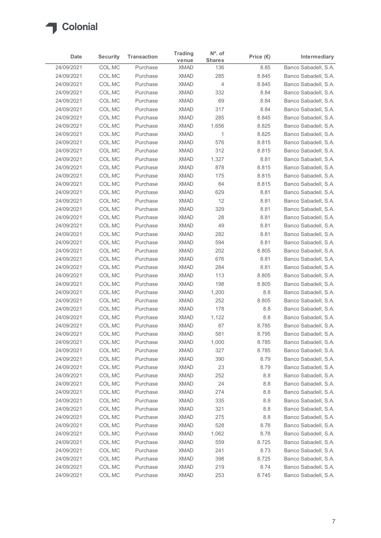

| Date                     | <b>Security</b>  | <b>Transaction</b>   | <b>Trading</b>             | N°. of               | Price $(\epsilon)$ | Intermediary                                 |
|--------------------------|------------------|----------------------|----------------------------|----------------------|--------------------|----------------------------------------------|
| 24/09/2021               | COL.MC           | Purchase             | venue<br><b>XMAD</b>       | <b>Shares</b><br>136 | 8.85               | Banco Sabadell, S.A.                         |
| 24/09/2021               | COL.MC           | Purchase             | <b>XMAD</b>                | 285                  | 8.845              | Banco Sabadell, S.A.                         |
| 24/09/2021               | COL.MC           | Purchase             | <b>XMAD</b>                | $\overline{4}$       | 8.845              | Banco Sabadell, S.A.                         |
| 24/09/2021               | COL.MC           | Purchase             | <b>XMAD</b>                | 332                  | 8.84               | Banco Sabadell, S.A.                         |
| 24/09/2021               | COL.MC           | Purchase             | <b>XMAD</b>                | 69                   | 8.84               | Banco Sabadell, S.A.                         |
| 24/09/2021               | COL.MC           | Purchase             | <b>XMAD</b>                | 317                  | 8.84               | Banco Sabadell, S.A.                         |
| 24/09/2021<br>24/09/2021 | COL.MC<br>COL.MC | Purchase<br>Purchase | <b>XMAD</b><br><b>XMAD</b> | 285<br>1,656         | 8.845<br>8.825     | Banco Sabadell, S.A.<br>Banco Sabadell, S.A. |
| 24/09/2021               | COL.MC           | Purchase             | <b>XMAD</b>                | $\overline{1}$       | 8.825              | Banco Sabadell, S.A.                         |
| 24/09/2021               | COL.MC           | Purchase             | <b>XMAD</b>                | 576                  | 8.815              | Banco Sabadell, S.A.                         |
| 24/09/2021               | COL.MC           | Purchase             | <b>XMAD</b>                | 312                  | 8.815              | Banco Sabadell, S.A.                         |
| 24/09/2021               | COL.MC           | Purchase             | <b>XMAD</b>                | 1,327                | 8.81               | Banco Sabadell, S.A.                         |
| 24/09/2021               | COL.MC           | Purchase             | <b>XMAD</b>                | 878                  | 8.815              | Banco Sabadell, S.A.                         |
| 24/09/2021               | COL.MC           | Purchase             | <b>XMAD</b>                | 175                  | 8.815              | Banco Sabadell, S.A.                         |
| 24/09/2021               | COL.MC           | Purchase             | <b>XMAD</b>                | 84                   | 8.815              | Banco Sabadell, S.A.                         |
| 24/09/2021               | COL.MC           | Purchase             | <b>XMAD</b>                | 629                  | 8.81               | Banco Sabadell, S.A.                         |
| 24/09/2021               | COL.MC           | Purchase             | <b>XMAD</b>                | 12                   | 8.81               | Banco Sabadell, S.A.                         |
| 24/09/2021               | COL.MC           | Purchase             | <b>XMAD</b>                | 329                  | 8.81               | Banco Sabadell, S.A.                         |
| 24/09/2021<br>24/09/2021 | COL.MC<br>COL.MC | Purchase<br>Purchase | <b>XMAD</b><br><b>XMAD</b> | 28<br>49             | 8.81<br>8.81       | Banco Sabadell, S.A.<br>Banco Sabadell, S.A. |
| 24/09/2021               | COL.MC           | Purchase             | <b>XMAD</b>                | 282                  | 8.81               | Banco Sabadell, S.A.                         |
| 24/09/2021               | COL.MC           | Purchase             | XMAD                       | 594                  | 8.81               | Banco Sabadell, S.A.                         |
| 24/09/2021               | COL.MC           | Purchase             | <b>XMAD</b>                | 202                  | 8.805              | Banco Sabadell, S.A.                         |
| 24/09/2021               | COL.MC           | Purchase             | <b>XMAD</b>                | 676                  | 8.81               | Banco Sabadell, S.A.                         |
| 24/09/2021               | COL.MC           | Purchase             | <b>XMAD</b>                | 284                  | 8.81               | Banco Sabadell, S.A.                         |
| 24/09/2021               | COL.MC           | Purchase             | <b>XMAD</b>                | 113                  | 8.805              | Banco Sabadell, S.A.                         |
| 24/09/2021               | COL.MC           | Purchase             | <b>XMAD</b>                | 198                  | 8.805              | Banco Sabadell, S.A.                         |
| 24/09/2021               | COL.MC           | Purchase             | <b>XMAD</b>                | 1,200                | 8.8                | Banco Sabadell, S.A.                         |
| 24/09/2021<br>24/09/2021 | COL.MC<br>COL.MC | Purchase<br>Purchase | <b>XMAD</b><br><b>XMAD</b> | 252<br>178           | 8.805<br>8.8       | Banco Sabadell, S.A.<br>Banco Sabadell, S.A. |
| 24/09/2021               | COL.MC           | Purchase             | <b>XMAD</b>                | 1,122                | 8.8                | Banco Sabadell, S.A.                         |
| 24/09/2021               | COL.MC           | Purchase             | <b>XMAD</b>                | 87                   | 8.785              | Banco Sabadell, S.A.                         |
| 24/09/2021               | COL.MC           | Purchase             | <b>XMAD</b>                | 581                  | 8.795              | Banco Sabadell, S.A.                         |
| 24/09/2021               | COL.MC           | Purchase             | <b>XMAD</b>                | 1,000                | 8.785              | Banco Sabadell, S.A.                         |
| 24/09/2021               | COL.MC           | Purchase             | <b>XMAD</b>                | 327                  | 8.785              | Banco Sabadell, S.A.                         |
| 24/09/2021               | COL.MC           | Purchase             | <b>XMAD</b>                | 390                  | 8.79               | Banco Sabadell, S.A.                         |
| 24/09/2021               | COL.MC           | Purchase             | <b>XMAD</b>                | 23                   | 8.79               | Banco Sabadell, S.A.                         |
| 24/09/2021               | COL.MC           | Purchase             | <b>XMAD</b>                | 252                  | 8.8                | Banco Sabadell, S.A.                         |
| 24/09/2021               | COL.MC           | Purchase             | <b>XMAD</b>                | 24                   | 8.8                | Banco Sabadell, S.A.                         |
| 24/09/2021               | COL.MC           | Purchase             | <b>XMAD</b>                | 274                  | 8.8                | Banco Sabadell, S.A.                         |
| 24/09/2021<br>24/09/2021 | COL.MC<br>COL.MC | Purchase<br>Purchase | <b>XMAD</b><br><b>XMAD</b> | 335<br>321           | 8.8<br>8.8         | Banco Sabadell, S.A.<br>Banco Sabadell, S.A. |
| 24/09/2021               | COL.MC           | Purchase             | <b>XMAD</b>                | 275                  | 8.8                | Banco Sabadell, S.A.                         |
| 24/09/2021               | COL.MC           | Purchase             | <b>XMAD</b>                | 528                  | 8.78               | Banco Sabadell, S.A.                         |
| 24/09/2021               | COL.MC           | Purchase             | <b>XMAD</b>                | 1,062                | 8.78               | Banco Sabadell, S.A.                         |
| 24/09/2021               | COL.MC           | Purchase             | <b>XMAD</b>                | 559                  | 8.725              | Banco Sabadell, S.A.                         |
| 24/09/2021               | COL.MC           | Purchase             | <b>XMAD</b>                | 241                  | 8.73               | Banco Sabadell, S.A.                         |
| 24/09/2021               | COL.MC           | Purchase             | <b>XMAD</b>                | 398                  | 8.725              | Banco Sabadell, S.A.                         |
| 24/09/2021               | COL.MC           | Purchase             | <b>XMAD</b>                | 219                  | 8.74               | Banco Sabadell, S.A.                         |
|                          | COL.MC           | Purchase             | <b>XMAD</b>                | 253                  | 8.745              | Banco Sabadell, S.A.                         |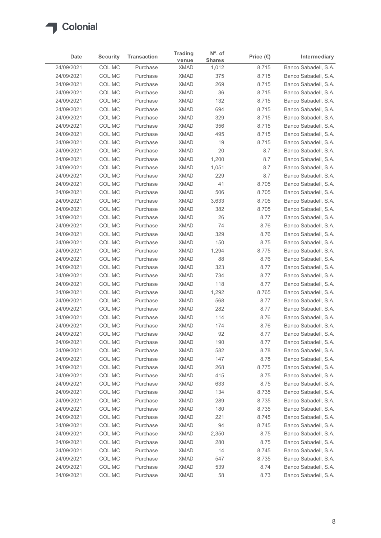

| Date                     |                  |                      | <b>Trading</b>             | $N^{\circ}$ . of |                    |                                              |
|--------------------------|------------------|----------------------|----------------------------|------------------|--------------------|----------------------------------------------|
|                          | <b>Security</b>  | <b>Transaction</b>   | venue                      | <b>Shares</b>    | Price $(\epsilon)$ | Intermediary                                 |
| 24/09/2021<br>24/09/2021 | COL.MC<br>COL.MC | Purchase<br>Purchase | <b>XMAD</b><br><b>XMAD</b> | 1,012<br>375     | 8.715<br>8.715     | Banco Sabadell, S.A.<br>Banco Sabadell, S.A. |
| 24/09/2021               | COL.MC           | Purchase             | <b>XMAD</b>                | 269              | 8.715              | Banco Sabadell, S.A.                         |
| 24/09/2021               | COL.MC           | Purchase             | <b>XMAD</b>                | 36               | 8.715              | Banco Sabadell, S.A.                         |
| 24/09/2021               | COL.MC           | Purchase             | <b>XMAD</b>                | 132              | 8.715              | Banco Sabadell, S.A.                         |
| 24/09/2021               | COL.MC           | Purchase             | <b>XMAD</b>                | 694              | 8.715              | Banco Sabadell, S.A.                         |
| 24/09/2021               | COL.MC           | Purchase             | <b>XMAD</b>                | 329              | 8.715              | Banco Sabadell, S.A.                         |
| 24/09/2021               | COL.MC           | Purchase             | <b>XMAD</b>                | 356              | 8.715              | Banco Sabadell, S.A.                         |
| 24/09/2021               | COL.MC           | Purchase             | <b>XMAD</b>                | 495              | 8.715              | Banco Sabadell, S.A.                         |
| 24/09/2021<br>24/09/2021 | COL.MC<br>COL.MC | Purchase<br>Purchase | <b>XMAD</b><br><b>XMAD</b> | 19<br>20         | 8.715<br>8.7       | Banco Sabadell, S.A.<br>Banco Sabadell, S.A. |
| 24/09/2021               | COL.MC           | Purchase             | <b>XMAD</b>                | 1,200            | 8.7                | Banco Sabadell, S.A.                         |
| 24/09/2021               | COL.MC           | Purchase             | <b>XMAD</b>                | 1,051            | 8.7                | Banco Sabadell, S.A.                         |
| 24/09/2021               | COL.MC           | Purchase             | <b>XMAD</b>                | 229              | 8.7                | Banco Sabadell, S.A.                         |
| 24/09/2021               | COL.MC           | Purchase             | <b>XMAD</b>                | 41               | 8.705              | Banco Sabadell, S.A.                         |
| 24/09/2021               | COL.MC           | Purchase             | XMAD                       | 506              | 8.705              | Banco Sabadell, S.A.                         |
| 24/09/2021               | COL.MC           | Purchase             | <b>XMAD</b>                | 3,633            | 8.705              | Banco Sabadell, S.A.                         |
| 24/09/2021               | COL.MC           | Purchase             | <b>XMAD</b>                | 382              | 8.705              | Banco Sabadell, S.A.                         |
| 24/09/2021               | COL.MC           | Purchase             | <b>XMAD</b>                | 26               | 8.77               | Banco Sabadell, S.A.                         |
| 24/09/2021<br>24/09/2021 | COL.MC<br>COL.MC | Purchase<br>Purchase | <b>XMAD</b><br><b>XMAD</b> | 74<br>329        | 8.76<br>8.76       | Banco Sabadell, S.A.<br>Banco Sabadell, S.A. |
| 24/09/2021               | COL.MC           | Purchase             | XMAD                       | 150              | 8.75               | Banco Sabadell, S.A.                         |
| 24/09/2021               | COL.MC           | Purchase             | <b>XMAD</b>                | 1,294            | 8.775              | Banco Sabadell, S.A.                         |
| 24/09/2021               | COL.MC           | Purchase             | <b>XMAD</b>                | 88               | 8.76               | Banco Sabadell, S.A.                         |
| 24/09/2021               | COL.MC           | Purchase             | <b>XMAD</b>                | 323              | 8.77               | Banco Sabadell, S.A.                         |
| 24/09/2021               | COL.MC           | Purchase             | <b>XMAD</b>                | 734              | 8.77               | Banco Sabadell, S.A.                         |
| 24/09/2021               | COL.MC           | Purchase             | <b>XMAD</b>                | 118              | 8.77               | Banco Sabadell, S.A.                         |
| 24/09/2021               | COL.MC           | Purchase             | XMAD                       | 1,292            | 8.765              | Banco Sabadell, S.A.                         |
| 24/09/2021               | COL.MC           | Purchase             | <b>XMAD</b>                | 568              | 8.77               | Banco Sabadell, S.A.                         |
| 24/09/2021               | COL.MC           | Purchase             | <b>XMAD</b>                | 282              | 8.77               | Banco Sabadell, S.A.                         |
| 24/09/2021<br>24/09/2021 | COL.MC<br>COL.MC | Purchase<br>Purchase | <b>XMAD</b><br><b>XMAD</b> | 114<br>174       | 8.76<br>8.76       | Banco Sabadell, S.A.<br>Banco Sabadell, S.A. |
| 24/09/2021               | COL.MC           | Purchase             | <b>XMAD</b>                | 92               | 8.77               | Banco Sabadell, S.A.                         |
| 24/09/2021               | COL.MC           | Purchase             | <b>XMAD</b>                | 190              | 8.77               | Banco Sabadell, S.A.                         |
| 24/09/2021               | COL.MC           | Purchase             | <b>XMAD</b>                | 582              | 8.78               | Banco Sabadell, S.A.                         |
| 24/09/2021               | COL.MC           | Purchase             | <b>XMAD</b>                | 147              | 8.78               | Banco Sabadell, S.A.                         |
| 24/09/2021               | COL.MC           | Purchase             | <b>XMAD</b>                | 268              | 8.775              | Banco Sabadell, S.A.                         |
| 24/09/2021               | COL.MC           | Purchase             | <b>XMAD</b>                | 415              | 8.75               | Banco Sabadell, S.A.                         |
| 24/09/2021               | COL.MC           | Purchase             | <b>XMAD</b>                | 633              | 8.75               | Banco Sabadell, S.A.                         |
| 24/09/2021               | COL.MC           | Purchase             | <b>XMAD</b>                | 134              | 8.735              | Banco Sabadell, S.A.                         |
| 24/09/2021<br>24/09/2021 | COL.MC<br>COL.MC | Purchase<br>Purchase | <b>XMAD</b><br><b>XMAD</b> | 289<br>180       | 8.735<br>8.735     | Banco Sabadell, S.A.<br>Banco Sabadell, S.A. |
| 24/09/2021               | COL.MC           | Purchase             | <b>XMAD</b>                | 221              | 8.745              | Banco Sabadell, S.A.                         |
| 24/09/2021               | COL.MC           | Purchase             | <b>XMAD</b>                | 94               | 8.745              | Banco Sabadell, S.A.                         |
| 24/09/2021               | COL.MC           | Purchase             | <b>XMAD</b>                | 2,350            | 8.75               | Banco Sabadell, S.A.                         |
| 24/09/2021               | COL.MC           | Purchase             | <b>XMAD</b>                | 280              | 8.75               | Banco Sabadell, S.A.                         |
| 24/09/2021               | COL.MC           | Purchase             | <b>XMAD</b>                | 14               | 8.745              | Banco Sabadell, S.A.                         |
| 24/09/2021               | COL.MC           | Purchase             | <b>XMAD</b>                | 547              | 8.735              | Banco Sabadell, S.A.                         |
| 24/09/2021               | COL.MC           | Purchase             | <b>XMAD</b>                | 539              | 8.74               | Banco Sabadell, S.A.                         |
|                          | COL.MC           | Purchase             | <b>XMAD</b>                | 58               | 8.73               | Banco Sabadell, S.A.                         |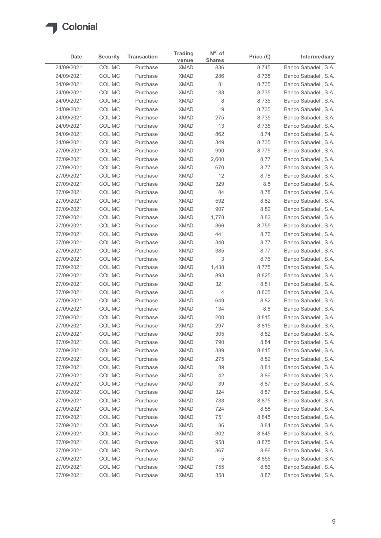

|                          | <b>Security</b>  | <b>Transaction</b>   | <b>Trading</b>             | $N^{\circ}$ . of     | Price $(\epsilon)$ | Intermediary                                 |
|--------------------------|------------------|----------------------|----------------------------|----------------------|--------------------|----------------------------------------------|
| Date<br>24/09/2021       | COL.MC           | Purchase             | venue<br><b>XMAD</b>       | <b>Shares</b><br>836 | 8.745              | Banco Sabadell, S.A.                         |
| 24/09/2021               | COL.MC           | Purchase             | <b>XMAD</b>                | 286                  | 8.735              | Banco Sabadell, S.A.                         |
| 24/09/2021               | COL.MC           | Purchase             | <b>XMAD</b>                | 81                   | 8.735              | Banco Sabadell, S.A.                         |
| 24/09/2021               | COL.MC           | Purchase             | <b>XMAD</b>                | 183                  | 8.735              | Banco Sabadell, S.A.                         |
| 24/09/2021               | COL.MC           | Purchase             | <b>XMAD</b>                | 8                    | 8.735              | Banco Sabadell, S.A.                         |
| 24/09/2021               | COL.MC           | Purchase             | <b>XMAD</b>                | 19                   | 8.735              | Banco Sabadell, S.A.                         |
| 24/09/2021<br>24/09/2021 | COL.MC<br>COL.MC | Purchase<br>Purchase | <b>XMAD</b><br><b>XMAD</b> | 275<br>13            | 8.735              | Banco Sabadell, S.A.<br>Banco Sabadell, S.A. |
| 24/09/2021               | COL.MC           | Purchase             | <b>XMAD</b>                | 862                  | 8.735<br>8.74      | Banco Sabadell, S.A.                         |
| 24/09/2021               | COL.MC           | Purchase             | <b>XMAD</b>                | 349                  | 8.735              | Banco Sabadell, S.A.                         |
| 27/09/2021               | COL.MC           | Purchase             | <b>XMAD</b>                | 990                  | 8.775              | Banco Sabadell, S.A.                         |
| 27/09/2021               | COL.MC           | Purchase             | <b>XMAD</b>                | 2,600                | 8.77               | Banco Sabadell, S.A.                         |
| 27/09/2021               | COL.MC           | Purchase             | <b>XMAD</b>                | 670                  | 8.77               | Banco Sabadell, S.A.                         |
| 27/09/2021               | COL.MC           | Purchase             | <b>XMAD</b>                | 12                   | 8.78               | Banco Sabadell, S.A.                         |
| 27/09/2021               | COL.MC           | Purchase             | <b>XMAD</b>                | 329                  | 8.8                | Banco Sabadell, S.A.                         |
| 27/09/2021<br>27/09/2021 | COL.MC<br>COL.MC | Purchase<br>Purchase | XMAD<br><b>XMAD</b>        | 84<br>592            | 8.78<br>8.82       | Banco Sabadell, S.A.<br>Banco Sabadell, S.A. |
| 27/09/2021               | COL.MC           | Purchase             | <b>XMAD</b>                | 907                  | 8.82               | Banco Sabadell, S.A.                         |
| 27/09/2021               | COL.MC           | Purchase             | <b>XMAD</b>                | 1,778                | 8.82               | Banco Sabadell, S.A.                         |
| 27/09/2021               | COL.MC           | Purchase             | <b>XMAD</b>                | 366                  | 8.755              | Banco Sabadell, S.A.                         |
| 27/09/2021               | COL.MC           | Purchase             | <b>XMAD</b>                | 441                  | 8.76               | Banco Sabadell, S.A.                         |
| 27/09/2021               | COL.MC           | Purchase             | XMAD                       | 340                  | 8.77               | Banco Sabadell, S.A.                         |
| 27/09/2021               | COL.MC           | Purchase             | <b>XMAD</b>                | 385                  | 8.77               | Banco Sabadell, S.A.                         |
| 27/09/2021<br>27/09/2021 | COL.MC<br>COL.MC | Purchase<br>Purchase | <b>XMAD</b><br><b>XMAD</b> | 3<br>1,438           | 8.76<br>8.775      | Banco Sabadell, S.A.<br>Banco Sabadell, S.A. |
| 27/09/2021               | COL.MC           | Purchase             | <b>XMAD</b>                | 893                  | 8.825              | Banco Sabadell, S.A.                         |
| 27/09/2021               | COL.MC           | Purchase             | <b>XMAD</b>                | 321                  | 8.81               | Banco Sabadell, S.A.                         |
| 27/09/2021               | COL.MC           | Purchase             | <b>XMAD</b>                | 4                    | 8.805              | Banco Sabadell, S.A.                         |
| 27/09/2021               | COL.MC           | Purchase             | <b>XMAD</b>                | 649                  | 8.82               | Banco Sabadell, S.A.                         |
| 27/09/2021               | COL.MC           | Purchase             | <b>XMAD</b>                | 134                  | $8.8\,$            | Banco Sabadell, S.A.                         |
| 27/09/2021               | COL.MC           | Purchase             | <b>XMAD</b>                | 200                  | 8.815              | Banco Sabadell, S.A.                         |
| 27/09/2021               | COL.MC           | Purchase             | <b>XMAD</b>                | 297                  | 8.815              | Banco Sabadell, S.A.                         |
| 27/09/2021               | COL.MC           | Purchase             | <b>XMAD</b>                | 305                  | 8.82               | Banco Sabadell, S.A.                         |
| 27/09/2021<br>27/09/2021 | COL.MC<br>COL.MC | Purchase<br>Purchase | <b>XMAD</b><br><b>XMAD</b> | 790<br>389           | 8.84<br>8.815      | Banco Sabadell, S.A.<br>Banco Sabadell, S.A. |
| 27/09/2021               | COL.MC           | Purchase             | <b>XMAD</b>                | 275                  | 8.82               | Banco Sabadell, S.A.                         |
| 27/09/2021               | COL.MC           | Purchase             | <b>XMAD</b>                | 89                   | 8.81               | Banco Sabadell, S.A.                         |
| 27/09/2021               | COL.MC           | Purchase             | <b>XMAD</b>                | 42                   | 8.86               | Banco Sabadell, S.A.                         |
| 27/09/2021               | COL.MC           | Purchase             | <b>XMAD</b>                | 39                   | 8.87               | Banco Sabadell, S.A.                         |
| 27/09/2021               | COL.MC           | Purchase             | <b>XMAD</b>                | 324                  | 8.87               | Banco Sabadell, S.A.                         |
| 27/09/2021               | COL.MC           | Purchase             | <b>XMAD</b>                | 733                  | 8.875              | Banco Sabadell, S.A.                         |
| 27/09/2021               | COL.MC           | Purchase             | <b>XMAD</b>                | 724                  | 8.88               | Banco Sabadell, S.A.                         |
| 27/09/2021               | COL.MC           | Purchase             | <b>XMAD</b>                | 751<br>86            | 8.845<br>8.84      | Banco Sabadell, S.A.                         |
| 27/09/2021<br>27/09/2021 | COL.MC<br>COL.MC | Purchase<br>Purchase | <b>XMAD</b><br><b>XMAD</b> | 302                  | 8.845              | Banco Sabadell, S.A.<br>Banco Sabadell, S.A. |
| 27/09/2021               | COL.MC           | Purchase             | <b>XMAD</b>                | 958                  | 8.875              | Banco Sabadell, S.A.                         |
| 27/09/2021               | COL.MC           | Purchase             | <b>XMAD</b>                | 367                  | 8.86               | Banco Sabadell, S.A.                         |
| 27/09/2021               | COL.MC           | Purchase             | <b>XMAD</b>                | 5                    | 8.855              | Banco Sabadell, S.A.                         |
| 27/09/2021               | COL.MC           | Purchase             | <b>XMAD</b>                | 755                  | 8.86               | Banco Sabadell, S.A.                         |
|                          | COL.MC           | Purchase             | <b>XMAD</b>                | 358                  | 8.87               | Banco Sabadell, S.A.                         |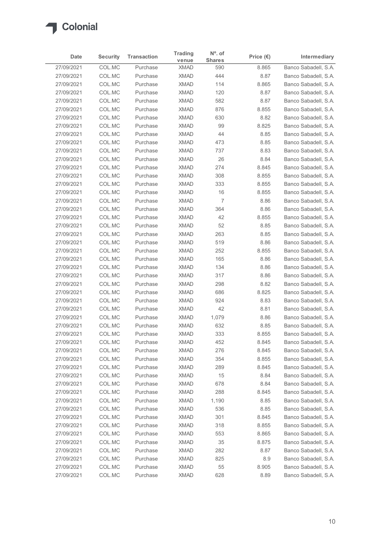

| Date                     | <b>Security</b>  | <b>Transaction</b>   | <b>Trading</b>             | $No$ . of<br><b>Shares</b> | Price $(\epsilon)$ | Intermediary                                 |
|--------------------------|------------------|----------------------|----------------------------|----------------------------|--------------------|----------------------------------------------|
| 27/09/2021               | COL.MC           | Purchase             | venue<br><b>XMAD</b>       | 590                        | 8.865              | Banco Sabadell, S.A.                         |
| 27/09/2021               | COL.MC           | Purchase             | <b>XMAD</b>                | 444                        | 8.87               | Banco Sabadell, S.A.                         |
| 27/09/2021               | COL.MC           | Purchase             | <b>XMAD</b>                | 114                        | 8.865              | Banco Sabadell, S.A.                         |
| 27/09/2021               | COL.MC           | Purchase             | <b>XMAD</b>                | 120                        | 8.87               | Banco Sabadell, S.A.                         |
| 27/09/2021               | COL.MC           | Purchase             | <b>XMAD</b>                | 582                        | 8.87               | Banco Sabadell, S.A.                         |
| 27/09/2021               | COL.MC           | Purchase             | <b>XMAD</b>                | 876                        | 8.855              | Banco Sabadell, S.A.                         |
| 27/09/2021               | COL.MC           | Purchase             | <b>XMAD</b>                | 630                        | 8.82               | Banco Sabadell, S.A.                         |
| 27/09/2021               | COL.MC           | Purchase             | <b>XMAD</b>                | 99                         | 8.825              | Banco Sabadell, S.A.                         |
| 27/09/2021               | COL.MC           | Purchase             | <b>XMAD</b>                | 44                         | 8.85               | Banco Sabadell, S.A.                         |
| 27/09/2021               | COL.MC           | Purchase             | <b>XMAD</b>                | 473                        | 8.85               | Banco Sabadell, S.A.                         |
| 27/09/2021               | COL.MC           | Purchase             | <b>XMAD</b>                | 737                        | 8.83               | Banco Sabadell, S.A.                         |
| 27/09/2021<br>27/09/2021 | COL.MC<br>COL.MC | Purchase<br>Purchase | <b>XMAD</b><br><b>XMAD</b> | 26<br>274                  | 8.84               | Banco Sabadell, S.A.                         |
| 27/09/2021               | COL.MC           | Purchase             | <b>XMAD</b>                | 308                        | 8.845<br>8.855     | Banco Sabadell, S.A.<br>Banco Sabadell, S.A. |
| 27/09/2021               | COL.MC           | Purchase             | <b>XMAD</b>                | 333                        | 8.855              | Banco Sabadell, S.A.                         |
| 27/09/2021               | COL.MC           | Purchase             | <b>XMAD</b>                | 16                         | 8.855              | Banco Sabadell, S.A.                         |
| 27/09/2021               | COL.MC           | Purchase             | <b>XMAD</b>                | 7                          | 8.86               | Banco Sabadell, S.A.                         |
| 27/09/2021               | COL.MC           | Purchase             | <b>XMAD</b>                | 364                        | 8.86               | Banco Sabadell, S.A.                         |
| 27/09/2021               | COL.MC           | Purchase             | <b>XMAD</b>                | 42                         | 8.855              | Banco Sabadell, S.A.                         |
| 27/09/2021               | COL.MC           | Purchase             | <b>XMAD</b>                | 52                         | 8.85               | Banco Sabadell, S.A.                         |
| 27/09/2021               | COL.MC           | Purchase             | <b>XMAD</b>                | 263                        | 8.85               | Banco Sabadell, S.A.                         |
| 27/09/2021               | COL.MC           | Purchase             | <b>XMAD</b>                | 519                        | 8.86               | Banco Sabadell, S.A.                         |
| 27/09/2021               | COL.MC           | Purchase             | <b>XMAD</b>                | 252                        | 8.855              | Banco Sabadell, S.A.                         |
| 27/09/2021               | COL.MC           | Purchase             | <b>XMAD</b>                | 165                        | 8.86               | Banco Sabadell, S.A.                         |
| 27/09/2021               | COL.MC           | Purchase             | <b>XMAD</b>                | 134                        | 8.86               | Banco Sabadell, S.A.                         |
| 27/09/2021               | COL.MC           | Purchase             | <b>XMAD</b>                | 317                        | 8.86               | Banco Sabadell, S.A.                         |
| 27/09/2021               | COL.MC           | Purchase             | <b>XMAD</b>                | 298                        | 8.82               | Banco Sabadell, S.A.                         |
| 27/09/2021               | COL.MC           | Purchase             | <b>XMAD</b>                | 686                        | 8.825              | Banco Sabadell, S.A.                         |
| 27/09/2021               | COL.MC           | Purchase             | <b>XMAD</b>                | 924                        | 8.83               | Banco Sabadell, S.A.                         |
| 27/09/2021               | COL.MC           | Purchase             | <b>XMAD</b>                | 42                         | 8.81               | Banco Sabadell, S.A.                         |
| 27/09/2021               | COL.MC           | Purchase             | <b>XMAD</b>                | 1,079                      | 8.86               | Banco Sabadell, S.A.                         |
| 27/09/2021               | COL.MC           | Purchase             | <b>XMAD</b>                | 632                        | 8.85               | Banco Sabadell, S.A.                         |
| 27/09/2021               | COL.MC           | Purchase             | <b>XMAD</b>                | 333                        | 8.855              | Banco Sabadell, S.A.                         |
| 27/09/2021               | COL.MC           | Purchase             | <b>XMAD</b>                | 452                        | 8.845              | Banco Sabadell, S.A.                         |
| 27/09/2021               | COL.MC           | Purchase             | <b>XMAD</b>                | 276                        | 8.845              | Banco Sabadell, S.A.                         |
| 27/09/2021               | COL.MC           | Purchase             | <b>XMAD</b>                | 354                        | 8.855              | Banco Sabadell, S.A.                         |
| 27/09/2021               | COL.MC           | Purchase             | <b>XMAD</b>                | 289                        | 8.845              | Banco Sabadell, S.A.                         |
| 27/09/2021               | COL.MC           | Purchase             | <b>XMAD</b>                | 15                         | 8.84               | Banco Sabadell, S.A.                         |
| 27/09/2021               | COL.MC           | Purchase             | <b>XMAD</b>                | 678                        | 8.84               | Banco Sabadell, S.A.                         |
| 27/09/2021               | COL.MC           | Purchase             | <b>XMAD</b>                | 288                        | 8.845              | Banco Sabadell, S.A.                         |
| 27/09/2021               | COL.MC           | Purchase             | <b>XMAD</b>                | 1,190                      | 8.85               | Banco Sabadell, S.A.                         |
| 27/09/2021               | COL.MC           | Purchase             | <b>XMAD</b>                | 536                        | 8.85               | Banco Sabadell, S.A.                         |
| 27/09/2021<br>27/09/2021 | COL.MC<br>COL.MC | Purchase<br>Purchase | <b>XMAD</b><br><b>XMAD</b> | 301<br>318                 | 8.845<br>8.855     | Banco Sabadell, S.A.<br>Banco Sabadell, S.A. |
| 27/09/2021               | COL.MC           | Purchase             | <b>XMAD</b>                | 553                        | 8.865              | Banco Sabadell, S.A.                         |
| 27/09/2021               | COL.MC           | Purchase             | <b>XMAD</b>                | 35                         | 8.875              | Banco Sabadell, S.A.                         |
| 27/09/2021               | COL.MC           | Purchase             | <b>XMAD</b>                | 282                        | 8.87               | Banco Sabadell, S.A.                         |
| 27/09/2021               | COL.MC           | Purchase             | <b>XMAD</b>                | 825                        | 8.9                | Banco Sabadell, S.A.                         |
| 27/09/2021               | COLMC            | Purchase             | <b>XMAD</b>                | 55                         | 8.905              | Banco Sabadell, S.A.                         |
|                          | COLMC            | Purchase             | <b>XMAD</b>                | 628                        | 8.89               | Banco Sabadell, S.A.                         |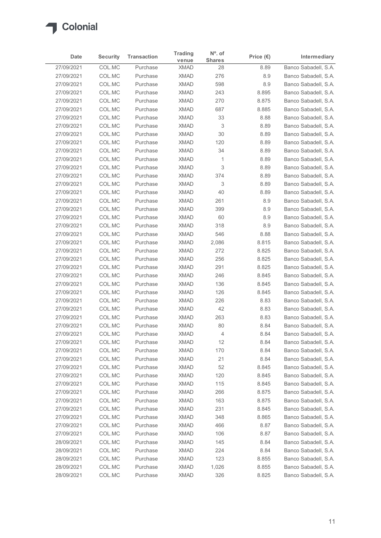

| Date                     | <b>Security</b>  | <b>Transaction</b>   | <b>Trading</b>             | $No$ . of           | Price $(\epsilon)$ | Intermediary                                 |
|--------------------------|------------------|----------------------|----------------------------|---------------------|--------------------|----------------------------------------------|
| 27/09/2021               | COL.MC           | Purchase             | venue<br><b>XMAD</b>       | <b>Shares</b><br>28 | 8.89               | Banco Sabadell, S.A.                         |
| 27/09/2021               | COL.MC           | Purchase             | <b>XMAD</b>                | 276                 | 8.9                | Banco Sabadell, S.A.                         |
| 27/09/2021               | COL.MC           | Purchase             | <b>XMAD</b>                | 598                 | 8.9                | Banco Sabadell, S.A.                         |
| 27/09/2021               | COL.MC           | Purchase             | <b>XMAD</b>                | 243                 | 8.895              | Banco Sabadell, S.A.                         |
| 27/09/2021               | COL.MC           | Purchase             | <b>XMAD</b>                | 270                 | 8.875              | Banco Sabadell, S.A.                         |
| 27/09/2021               | COL.MC           | Purchase             | <b>XMAD</b>                | 687                 | 8.885              | Banco Sabadell, S.A.                         |
| 27/09/2021<br>27/09/2021 | COL.MC<br>COL.MC | Purchase<br>Purchase | <b>XMAD</b><br><b>XMAD</b> | 33<br>3             | 8.88<br>8.89       | Banco Sabadell, S.A.<br>Banco Sabadell, S.A. |
| 27/09/2021               | COL.MC           | Purchase             | <b>XMAD</b>                | $30\,$              | 8.89               | Banco Sabadell, S.A.                         |
| 27/09/2021               | COL.MC           | Purchase             | <b>XMAD</b>                | 120                 | 8.89               | Banco Sabadell, S.A.                         |
| 27/09/2021               | COL.MC           | Purchase             | <b>XMAD</b>                | 34                  | 8.89               | Banco Sabadell, S.A.                         |
| 27/09/2021               | COL.MC           | Purchase             | <b>XMAD</b>                | $\overline{1}$      | 8.89               | Banco Sabadell, S.A.                         |
| 27/09/2021               | COL.MC           | Purchase             | <b>XMAD</b>                | 3                   | 8.89               | Banco Sabadell, S.A.                         |
| 27/09/2021               | COL.MC           | Purchase             | <b>XMAD</b>                | 374                 | 8.89               | Banco Sabadell, S.A.                         |
| 27/09/2021               | COL.MC           | Purchase             | <b>XMAD</b>                | 3                   | 8.89               | Banco Sabadell, S.A.                         |
| 27/09/2021               | COL.MC           | Purchase             | <b>XMAD</b>                | $40\,$              | 8.89               | Banco Sabadell, S.A.                         |
| 27/09/2021               | COL.MC           | Purchase             | <b>XMAD</b>                | 261                 | 8.9                | Banco Sabadell, S.A.                         |
| 27/09/2021               | COL.MC           | Purchase             | <b>XMAD</b>                | 399                 | 8.9                | Banco Sabadell, S.A.                         |
| 27/09/2021<br>27/09/2021 | COL.MC<br>COL.MC | Purchase<br>Purchase | <b>XMAD</b><br><b>XMAD</b> | 60<br>318           | 8.9<br>8.9         | Banco Sabadell, S.A.<br>Banco Sabadell, S.A. |
| 27/09/2021               | COL.MC           | Purchase             | <b>XMAD</b>                | 546                 | 8.88               | Banco Sabadell, S.A.                         |
| 27/09/2021               | COL.MC           | Purchase             | <b>XMAD</b>                | 2,086               | 8.815              | Banco Sabadell, S.A.                         |
| 27/09/2021               | COL.MC           | Purchase             | <b>XMAD</b>                | 272                 | 8.825              | Banco Sabadell, S.A.                         |
| 27/09/2021               | COL.MC           | Purchase             | <b>XMAD</b>                | 256                 | 8.825              | Banco Sabadell, S.A.                         |
| 27/09/2021               | COL.MC           | Purchase             | <b>XMAD</b>                | 291                 | 8.825              | Banco Sabadell, S.A.                         |
| 27/09/2021               | COL.MC           | Purchase             | <b>XMAD</b>                | 246                 | 8.845              | Banco Sabadell, S.A.                         |
| 27/09/2021               | COL.MC           | Purchase             | <b>XMAD</b>                | 136                 | 8.845              | Banco Sabadell, S.A.                         |
| 27/09/2021               | COL.MC           | Purchase             | <b>XMAD</b>                | 126                 | 8.845              | Banco Sabadell, S.A.                         |
| 27/09/2021<br>27/09/2021 | COL.MC<br>COL.MC | Purchase<br>Purchase | <b>XMAD</b><br><b>XMAD</b> | 226<br>42           | 8.83<br>8.83       | Banco Sabadell, S.A.<br>Banco Sabadell, S.A. |
| 27/09/2021               | COL.MC           | Purchase             | <b>XMAD</b>                | 263                 | 8.83               | Banco Sabadell, S.A.                         |
| 27/09/2021               | COL.MC           | Purchase             | <b>XMAD</b>                | 80                  | 8.84               | Banco Sabadell, S.A.                         |
| 27/09/2021               | COL.MC           | Purchase             | <b>XMAD</b>                | 4                   | 8.84               | Banco Sabadell, S.A.                         |
| 27/09/2021               | COL.MC           | Purchase             | <b>XMAD</b>                | 12                  | 8.84               | Banco Sabadell, S.A.                         |
| 27/09/2021               | COL.MC           | Purchase             | <b>XMAD</b>                | 170                 | 8.84               | Banco Sabadell, S.A.                         |
| 27/09/2021               | COL.MC           | Purchase             | <b>XMAD</b>                | 21                  | 8.84               | Banco Sabadell, S.A.                         |
| 27/09/2021               | COL.MC           | Purchase             | <b>XMAD</b>                | 52                  | 8.845              | Banco Sabadell, S.A.                         |
| 27/09/2021               | COL.MC           | Purchase             | <b>XMAD</b>                | 120                 | 8.845              | Banco Sabadell, S.A.                         |
| 27/09/2021               | COL.MC           | Purchase             | <b>XMAD</b>                | 115                 | 8.845              | Banco Sabadell, S.A.                         |
| 27/09/2021               | COL.MC           | Purchase             | <b>XMAD</b>                | 266                 | 8.875              | Banco Sabadell, S.A.                         |
| 27/09/2021               | COL.MC           | Purchase             | <b>XMAD</b>                | 163                 | 8.875              | Banco Sabadell, S.A.                         |
| 27/09/2021<br>27/09/2021 | COL.MC<br>COL.MC | Purchase<br>Purchase | <b>XMAD</b><br><b>XMAD</b> | 231<br>348          | 8.845<br>8.865     | Banco Sabadell, S.A.<br>Banco Sabadell, S.A. |
| 27/09/2021               | COL.MC           | Purchase             | <b>XMAD</b>                | 466                 | 8.87               | Banco Sabadell, S.A.                         |
| 27/09/2021               | COL.MC           | Purchase             | <b>XMAD</b>                | 106                 | 8.87               | Banco Sabadell, S.A.                         |
| 28/09/2021               | COL.MC           | Purchase             | <b>XMAD</b>                | 145                 | 8.84               | Banco Sabadell, S.A.                         |
| 28/09/2021               | COL.MC           | Purchase             | <b>XMAD</b>                | 224                 | 8.84               | Banco Sabadell, S.A.                         |
| 28/09/2021               | COL.MC           | Purchase             | <b>XMAD</b>                | 123                 | 8.855              | Banco Sabadell, S.A.                         |
| 28/09/2021               | COLMC            | Purchase             | <b>XMAD</b>                | 1,026               | 8.855              | Banco Sabadell, S.A.                         |
|                          | COLMC            | Purchase             | <b>XMAD</b>                | 326                 | 8.825              | Banco Sabadell, S.A.                         |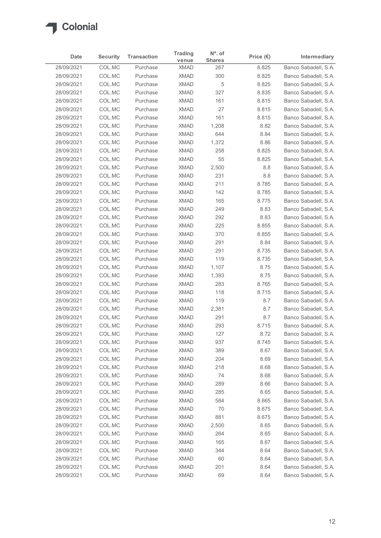

| Date                     | <b>Security</b>  | <b>Transaction</b>   | <b>Trading</b>             | N°. of               | Price $(\epsilon)$ | Intermediary                                 |
|--------------------------|------------------|----------------------|----------------------------|----------------------|--------------------|----------------------------------------------|
| 28/09/2021               | COL.MC           | Purchase             | venue<br><b>XMAD</b>       | <b>Shares</b><br>267 | 8.825              | Banco Sabadell, S.A.                         |
| 28/09/2021               | COL.MC           | Purchase             | <b>XMAD</b>                | 300                  | 8.825              | Banco Sabadell, S.A.                         |
| 28/09/2021               | COL.MC           | Purchase             | <b>XMAD</b>                | 5                    | 8.825              | Banco Sabadell, S.A.                         |
| 28/09/2021               | COL.MC           | Purchase             | <b>XMAD</b>                | 327                  | 8.835              | Banco Sabadell, S.A.                         |
| 28/09/2021               | COL.MC           | Purchase             | <b>XMAD</b>                | 161                  | 8.815              | Banco Sabadell, S.A.                         |
| 28/09/2021               | COL.MC           | Purchase             | <b>XMAD</b>                | 27                   | 8.815              | Banco Sabadell, S.A.<br>Banco Sabadell, S.A. |
| 28/09/2021<br>28/09/2021 | COL.MC<br>COL.MC | Purchase<br>Purchase | <b>XMAD</b><br><b>XMAD</b> | 161<br>1,208         | 8.815<br>8.82      | Banco Sabadell, S.A.                         |
| 28/09/2021               | COL.MC           | Purchase             | <b>XMAD</b>                | 644                  | 8.84               | Banco Sabadell, S.A.                         |
| 28/09/2021               | COL.MC           | Purchase             | <b>XMAD</b>                | 1,372                | 8.86               | Banco Sabadell, S.A.                         |
| 28/09/2021               | COL.MC           | Purchase             | <b>XMAD</b>                | 258                  | 8.825              | Banco Sabadell, S.A.                         |
| 28/09/2021               | COL.MC           | Purchase             | <b>XMAD</b>                | 55                   | 8.825              | Banco Sabadell, S.A.                         |
| 28/09/2021               | COL.MC           | Purchase             | <b>XMAD</b>                | 2,500                | 8.8                | Banco Sabadell, S.A.                         |
| 28/09/2021               | COL.MC           | Purchase             | <b>XMAD</b>                | 231                  | 8.8                | Banco Sabadell, S.A.                         |
| 28/09/2021               | COL.MC           | Purchase             | <b>XMAD</b>                | 211                  | 8.785              | Banco Sabadell, S.A.                         |
| 28/09/2021<br>28/09/2021 | COL.MC<br>COL.MC | Purchase<br>Purchase | <b>XMAD</b><br><b>XMAD</b> | 142<br>165           | 8.785<br>8.775     | Banco Sabadell, S.A.<br>Banco Sabadell, S.A. |
| 28/09/2021               | COL.MC           | Purchase             | <b>XMAD</b>                | 249                  | 8.83               | Banco Sabadell, S.A.                         |
| 28/09/2021               | COL.MC           | Purchase             | <b>XMAD</b>                | 292                  | 8.83               | Banco Sabadell, S.A.                         |
| 28/09/2021               | COL.MC           | Purchase             | <b>XMAD</b>                | 225                  | 8.855              | Banco Sabadell, S.A.                         |
| 28/09/2021               | COL.MC           | Purchase             | <b>XMAD</b>                | 370                  | 8.855              | Banco Sabadell, S.A.                         |
| 28/09/2021               | COL.MC           | Purchase             | <b>XMAD</b>                | 291                  | 8.84               | Banco Sabadell, S.A.                         |
| 28/09/2021               | COL.MC           | Purchase             | <b>XMAD</b>                | 291                  | 8.735              | Banco Sabadell, S.A.                         |
| 28/09/2021               | COL.MC           | Purchase             | <b>XMAD</b>                | 119                  | 8.735              | Banco Sabadell, S.A.                         |
| 28/09/2021               | COL.MC<br>COL.MC | Purchase<br>Purchase | <b>XMAD</b><br><b>XMAD</b> | 1,107                | 8.75<br>8.75       | Banco Sabadell, S.A.<br>Banco Sabadell, S.A. |
| 28/09/2021<br>28/09/2021 | COL.MC           | Purchase             | <b>XMAD</b>                | 1,393<br>283         | 8.765              | Banco Sabadell, S.A.                         |
| 28/09/2021               | COL.MC           | Purchase             | <b>XMAD</b>                | 118                  | 8.715              | Banco Sabadell, S.A.                         |
| 28/09/2021               | COL.MC           | Purchase             | <b>XMAD</b>                | 119                  | 8.7                | Banco Sabadell, S.A.                         |
| 28/09/2021               | COL.MC           | Purchase             | <b>XMAD</b>                | 2,381                | 8.7                | Banco Sabadell, S.A.                         |
| 28/09/2021               | COL.MC           | Purchase             | <b>XMAD</b>                | 291                  | 8.7                | Banco Sabadell, S.A.                         |
| 28/09/2021               | COL.MC           | Purchase             | <b>XMAD</b>                | 293                  | 8.715              | Banco Sabadell, S.A.                         |
| 28/09/2021               | COL.MC           | Purchase             | <b>XMAD</b>                | 127                  | 8.72               | Banco Sabadell, S.A.                         |
| 28/09/2021               | COL.MC           | Purchase             | <b>XMAD</b>                | 937                  | 8.745              | Banco Sabadell, S.A.                         |
| 28/09/2021               | COL.MC           | Purchase             | <b>XMAD</b>                | 389                  | 8.67               | Banco Sabadell, S.A.                         |
| 28/09/2021<br>28/09/2021 | COL.MC<br>COL.MC | Purchase<br>Purchase | <b>XMAD</b><br><b>XMAD</b> | 204<br>218           | 8.69<br>8.68       | Banco Sabadell, S.A.<br>Banco Sabadell, S.A. |
| 28/09/2021               | COL.MC           | Purchase             | <b>XMAD</b>                | 74                   | 8.68               | Banco Sabadell, S.A.                         |
| 28/09/2021               | COL.MC           | Purchase             | <b>XMAD</b>                | 289                  | 8.66               | Banco Sabadell, S.A.                         |
| 28/09/2021               | COL.MC           | Purchase             | <b>XMAD</b>                | 285                  | 8.65               | Banco Sabadell, S.A.                         |
| 28/09/2021               | COL.MC           | Purchase             | <b>XMAD</b>                | 584                  | 8.665              | Banco Sabadell, S.A.                         |
| 28/09/2021               | COL.MC           | Purchase             | <b>XMAD</b>                | 70                   | 8.675              | Banco Sabadell, S.A.                         |
| 28/09/2021               | COL.MC           | Purchase             | <b>XMAD</b>                | 881                  | 8.675              | Banco Sabadell, S.A.                         |
| 28/09/2021               | COL.MC           | Purchase             | <b>XMAD</b>                | 2,500                | 8.65               | Banco Sabadell, S.A.                         |
| 28/09/2021               | COL.MC           | Purchase             | <b>XMAD</b>                | 264                  | 8.65               | Banco Sabadell, S.A.                         |
| 28/09/2021               | COL.MC           | Purchase             | <b>XMAD</b>                | 165                  | 8.67               | Banco Sabadell, S.A.<br>Banco Sabadell, S.A. |
| 28/09/2021<br>28/09/2021 | COL.MC<br>COL.MC | Purchase<br>Purchase | <b>XMAD</b><br><b>XMAD</b> | 344<br>60            | 8.64<br>8.64       | Banco Sabadell, S.A.                         |
| 28/09/2021               | COL.MC           | Purchase             | <b>XMAD</b>                | 201                  | 8.64               | Banco Sabadell, S.A.                         |
|                          | COL.MC           | Purchase             | <b>XMAD</b>                | 69                   | 8.64               | Banco Sabadell, S.A.                         |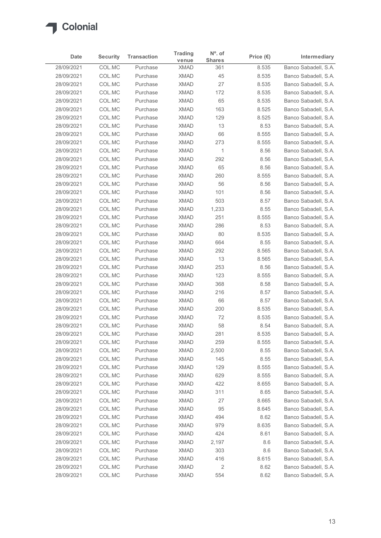

| Date                     | <b>Security</b>  | <b>Transaction</b>   | <b>Trading</b>             | $No$ . of            | Price $(\epsilon)$ | Intermediary                                 |
|--------------------------|------------------|----------------------|----------------------------|----------------------|--------------------|----------------------------------------------|
| 28/09/2021               | COL.MC           | Purchase             | venue<br><b>XMAD</b>       | <b>Shares</b><br>361 | 8.535              | Banco Sabadell, S.A.                         |
| 28/09/2021               | COL.MC           | Purchase             | <b>XMAD</b>                | 45                   | 8.535              | Banco Sabadell, S.A.                         |
| 28/09/2021               | COL.MC           | Purchase             | <b>XMAD</b>                | 27                   | 8.535              | Banco Sabadell, S.A.                         |
| 28/09/2021               | COL.MC           | Purchase             | <b>XMAD</b>                | 172                  | 8.535              | Banco Sabadell, S.A.                         |
| 28/09/2021               | COL.MC           | Purchase             | <b>XMAD</b>                | 65                   | 8.535              | Banco Sabadell, S.A.                         |
| 28/09/2021               | COL.MC           | Purchase             | <b>XMAD</b>                | 163                  | 8.525              | Banco Sabadell, S.A.                         |
| 28/09/2021<br>28/09/2021 | COL.MC<br>COL.MC | Purchase<br>Purchase | <b>XMAD</b><br><b>XMAD</b> | 129<br>13            | 8.525<br>8.53      | Banco Sabadell, S.A.<br>Banco Sabadell, S.A. |
| 28/09/2021               | COL.MC           | Purchase             | <b>XMAD</b>                | 66                   | 8.555              | Banco Sabadell, S.A.                         |
| 28/09/2021               | COL.MC           | Purchase             | <b>XMAD</b>                | 273                  | 8.555              | Banco Sabadell, S.A.                         |
| 28/09/2021               | COL.MC           | Purchase             | <b>XMAD</b>                | $\overline{1}$       | 8.56               | Banco Sabadell, S.A.                         |
| 28/09/2021               | COL.MC           | Purchase             | <b>XMAD</b>                | 292                  | 8.56               | Banco Sabadell, S.A.                         |
| 28/09/2021               | COL.MC           | Purchase             | <b>XMAD</b>                | 65                   | 8.56               | Banco Sabadell, S.A.                         |
| 28/09/2021               | COL.MC           | Purchase             | <b>XMAD</b>                | 260                  | 8.555              | Banco Sabadell, S.A.                         |
| 28/09/2021               | COL.MC           | Purchase             | <b>XMAD</b>                | 56                   | 8.56               | Banco Sabadell, S.A.                         |
| 28/09/2021               | COL.MC           | Purchase             | <b>XMAD</b>                | 101                  | 8.56               | Banco Sabadell, S.A.                         |
| 28/09/2021               | COL.MC           | Purchase             | <b>XMAD</b>                | 503                  | 8.57               | Banco Sabadell, S.A.                         |
| 28/09/2021               | COL.MC           | Purchase             | <b>XMAD</b>                | 1,233                | 8.55               | Banco Sabadell, S.A.                         |
| 28/09/2021<br>28/09/2021 | COL.MC<br>COL.MC | Purchase<br>Purchase | <b>XMAD</b><br><b>XMAD</b> | 251<br>286           | 8.555<br>8.53      | Banco Sabadell, S.A.<br>Banco Sabadell, S.A. |
| 28/09/2021               | COL.MC           | Purchase             | <b>XMAD</b>                | 80                   | 8.535              | Banco Sabadell, S.A.                         |
| 28/09/2021               | COL.MC           | Purchase             | <b>XMAD</b>                | 664                  | 8.55               | Banco Sabadell, S.A.                         |
| 28/09/2021               | COL.MC           | Purchase             | <b>XMAD</b>                | 292                  | 8.565              | Banco Sabadell, S.A.                         |
| 28/09/2021               | COL.MC           | Purchase             | <b>XMAD</b>                | 13                   | 8.565              | Banco Sabadell, S.A.                         |
| 28/09/2021               | COL.MC           | Purchase             | <b>XMAD</b>                | 253                  | 8.56               | Banco Sabadell, S.A.                         |
| 28/09/2021               | COL.MC           | Purchase             | <b>XMAD</b>                | 123                  | 8.555              | Banco Sabadell, S.A.                         |
| 28/09/2021               | COL.MC           | Purchase             | <b>XMAD</b>                | 368                  | 8.58               | Banco Sabadell, S.A.                         |
| 28/09/2021               | COL.MC           | Purchase             | <b>XMAD</b>                | 216                  | 8.57               | Banco Sabadell, S.A.                         |
| 28/09/2021<br>28/09/2021 | COL.MC<br>COL.MC | Purchase<br>Purchase | <b>XMAD</b><br><b>XMAD</b> | 66<br>200            | 8.57<br>8.535      | Banco Sabadell, S.A.<br>Banco Sabadell, S.A. |
| 28/09/2021               | COL.MC           | Purchase             | <b>XMAD</b>                | 72                   | 8.535              | Banco Sabadell, S.A.                         |
| 28/09/2021               | COL.MC           | Purchase             | <b>XMAD</b>                | 58                   | 8.54               | Banco Sabadell, S.A.                         |
| 28/09/2021               | COL.MC           | Purchase             | <b>XMAD</b>                | 281                  | 8.535              | Banco Sabadell, S.A.                         |
| 28/09/2021               | COL.MC           | Purchase             | <b>XMAD</b>                | 259                  | 8.555              | Banco Sabadell, S.A.                         |
| 28/09/2021               | COL.MC           | Purchase             | <b>XMAD</b>                | 2,500                | 8.55               | Banco Sabadell, S.A.                         |
| 28/09/2021               | COL.MC           | Purchase             | <b>XMAD</b>                | 145                  | 8.55               | Banco Sabadell, S.A.                         |
| 28/09/2021               | COL.MC           | Purchase             | <b>XMAD</b>                | 129                  | 8.555              | Banco Sabadell, S.A.                         |
| 28/09/2021               | COL.MC           | Purchase             | <b>XMAD</b>                | 629                  | 8.555              | Banco Sabadell, S.A.                         |
| 28/09/2021               | COL.MC           | Purchase             | <b>XMAD</b>                | 422                  | 8.655              | Banco Sabadell, S.A.                         |
| 28/09/2021               | COL.MC           | Purchase             | <b>XMAD</b>                | 311                  | 8.65               | Banco Sabadell, S.A.<br>Banco Sabadell, S.A. |
| 28/09/2021<br>28/09/2021 | COL.MC<br>COL.MC | Purchase<br>Purchase | <b>XMAD</b><br><b>XMAD</b> | 27<br>95             | 8.665<br>8.645     | Banco Sabadell, S.A.                         |
| 28/09/2021               | COL.MC           | Purchase             | <b>XMAD</b>                | 494                  | 8.62               | Banco Sabadell, S.A.                         |
| 28/09/2021               | COL.MC           | Purchase             | <b>XMAD</b>                | 979                  | 8.635              | Banco Sabadell, S.A.                         |
| 28/09/2021               | COL.MC           | Purchase             | <b>XMAD</b>                | 424                  | 8.61               | Banco Sabadell, S.A.                         |
| 28/09/2021               | COL.MC           | Purchase             | <b>XMAD</b>                | 2,197                | 8.6                | Banco Sabadell, S.A.                         |
| 28/09/2021               | COL.MC           | Purchase             | <b>XMAD</b>                | 303                  | 8.6                | Banco Sabadell, S.A.                         |
| 28/09/2021               | COL.MC           | Purchase             | <b>XMAD</b>                | 416                  | 8.615              | Banco Sabadell, S.A.                         |
| 28/09/2021               | COLMC            | Purchase             | <b>XMAD</b>                | $\sqrt{2}$           | 8.62               | Banco Sabadell, S.A.                         |
|                          | COLMC            | Purchase             | <b>XMAD</b>                | 554                  | 8.62               | Banco Sabadell, S.A.                         |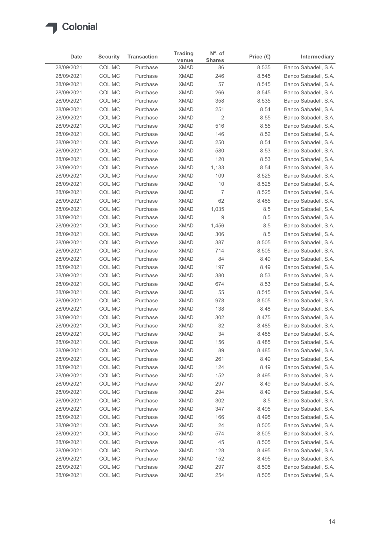

| Date                     | <b>Security</b>  | <b>Transaction</b>   | <b>Trading</b><br>venue    | N°. of<br><b>Shares</b> | Price $(\epsilon)$ | Intermediary                                 |
|--------------------------|------------------|----------------------|----------------------------|-------------------------|--------------------|----------------------------------------------|
| 28/09/2021               | COL.MC           | Purchase             | <b>XMAD</b>                | 86                      | 8.535              | Banco Sabadell, S.A.                         |
| 28/09/2021               | COL.MC           | Purchase             | <b>XMAD</b>                | 246                     | 8.545              | Banco Sabadell, S.A.                         |
| 28/09/2021               | COL.MC           | Purchase             | <b>XMAD</b>                | 57                      | 8.545              | Banco Sabadell, S.A.                         |
| 28/09/2021               | COL.MC           | Purchase             | <b>XMAD</b>                | 266                     | 8.545              | Banco Sabadell, S.A.                         |
| 28/09/2021               | COL.MC           | Purchase             | <b>XMAD</b>                | 358                     | 8.535              | Banco Sabadell, S.A.                         |
| 28/09/2021               | COL.MC           | Purchase             | <b>XMAD</b>                | 251                     | 8.54               | Banco Sabadell, S.A.                         |
| 28/09/2021               | COL.MC           | Purchase             | <b>XMAD</b>                | $\overline{2}$          | 8.55               | Banco Sabadell, S.A.                         |
| 28/09/2021               | COL.MC           | Purchase             | <b>XMAD</b>                | 516                     | 8.55               | Banco Sabadell, S.A.<br>Banco Sabadell, S.A. |
| 28/09/2021<br>28/09/2021 | COL.MC<br>COL.MC | Purchase<br>Purchase | <b>XMAD</b><br><b>XMAD</b> | 146<br>250              | 8.52<br>8.54       | Banco Sabadell, S.A.                         |
| 28/09/2021               | COL.MC           | Purchase             | <b>XMAD</b>                | 580                     | 8.53               | Banco Sabadell, S.A.                         |
| 28/09/2021               | COL.MC           | Purchase             | <b>XMAD</b>                | 120                     | 8.53               | Banco Sabadell, S.A.                         |
| 28/09/2021               | COL.MC           | Purchase             | <b>XMAD</b>                | 1,133                   | 8.54               | Banco Sabadell, S.A.                         |
| 28/09/2021               | COL.MC           | Purchase             | <b>XMAD</b>                | 109                     | 8.525              | Banco Sabadell, S.A.                         |
| 28/09/2021               | COL.MC           | Purchase             | <b>XMAD</b>                | 10                      | 8.525              | Banco Sabadell, S.A.                         |
| 28/09/2021               | COL.MC           | Purchase             | <b>XMAD</b>                | 7                       | 8.525              | Banco Sabadell, S.A.                         |
| 28/09/2021               | COL.MC           | Purchase             | <b>XMAD</b>                | 62                      | 8.485              | Banco Sabadell, S.A.                         |
| 28/09/2021               | COL.MC           | Purchase             | <b>XMAD</b>                | 1,035                   | 8.5                | Banco Sabadell, S.A.                         |
| 28/09/2021               | COL.MC           | Purchase             | <b>XMAD</b>                | 9                       | 8.5                | Banco Sabadell, S.A.                         |
| 28/09/2021               | COL.MC           | Purchase             | <b>XMAD</b>                | 1,456                   | 8.5                | Banco Sabadell, S.A.                         |
| 28/09/2021               | COL.MC           | Purchase             | <b>XMAD</b>                | 306                     | 8.5                | Banco Sabadell, S.A.                         |
| 28/09/2021               | COL.MC           | Purchase             | <b>XMAD</b>                | 387                     | 8.505              | Banco Sabadell, S.A.                         |
| 28/09/2021<br>28/09/2021 | COL.MC<br>COL.MC | Purchase             | <b>XMAD</b><br><b>XMAD</b> | 714<br>84               | 8.505<br>8.49      | Banco Sabadell, S.A.<br>Banco Sabadell, S.A. |
| 28/09/2021               | COL.MC           | Purchase<br>Purchase | <b>XMAD</b>                | 197                     | 8.49               | Banco Sabadell, S.A.                         |
| 28/09/2021               | COL.MC           | Purchase             | <b>XMAD</b>                | 380                     | 8.53               | Banco Sabadell, S.A.                         |
| 28/09/2021               | COL.MC           | Purchase             | <b>XMAD</b>                | 674                     | 8.53               | Banco Sabadell, S.A.                         |
| 28/09/2021               | COL.MC           | Purchase             | <b>XMAD</b>                | 55                      | 8.515              | Banco Sabadell, S.A.                         |
| 28/09/2021               | COL.MC           | Purchase             | <b>XMAD</b>                | 978                     | 8.505              | Banco Sabadell, S.A.                         |
| 28/09/2021               | COL.MC           | Purchase             | <b>XMAD</b>                | 138                     | 8.48               | Banco Sabadell, S.A.                         |
| 28/09/2021               | COL.MC           | Purchase             | <b>XMAD</b>                | 302                     | 8.475              | Banco Sabadell, S.A.                         |
| 28/09/2021               | COL.MC           | Purchase             | <b>XMAD</b>                | 32                      | 8.485              | Banco Sabadell, S.A.                         |
| 28/09/2021               | COL.MC           | Purchase             | <b>XMAD</b>                | 34                      | 8.485              | Banco Sabadell, S.A.                         |
| 28/09/2021               | COL.MC           | Purchase             | <b>XMAD</b>                | 156                     | 8.485              | Banco Sabadell, S.A.                         |
| 28/09/2021               | COL.MC           | Purchase             | <b>XMAD</b>                | 89                      | 8.485              | Banco Sabadell, S.A.                         |
| 28/09/2021               | COL.MC           | Purchase             | <b>XMAD</b>                | 261                     | 8.49               | Banco Sabadell, S.A.                         |
| 28/09/2021               | COL.MC           | Purchase             | <b>XMAD</b>                | 124                     | 8.49               | Banco Sabadell, S.A.                         |
| 28/09/2021               | COL.MC           | Purchase             | <b>XMAD</b>                | 152                     | 8.495              | Banco Sabadell, S.A.                         |
| 28/09/2021               | COL.MC           | Purchase             | <b>XMAD</b>                | 297                     | 8.49               | Banco Sabadell, S.A.                         |
| 28/09/2021               | COL.MC           | Purchase             | <b>XMAD</b>                | 294                     | 8.49               | Banco Sabadell, S.A.                         |
| 28/09/2021<br>28/09/2021 | COL.MC<br>COL.MC | Purchase<br>Purchase | <b>XMAD</b><br><b>XMAD</b> | 302<br>347              | 8.5<br>8.495       | Banco Sabadell, S.A.<br>Banco Sabadell, S.A. |
| 28/09/2021               | COL.MC           | Purchase             | <b>XMAD</b>                | 166                     | 8.495              | Banco Sabadell, S.A.                         |
| 28/09/2021               | COL.MC           | Purchase             | <b>XMAD</b>                | 24                      | 8.505              | Banco Sabadell, S.A.                         |
| 28/09/2021               | COL.MC           | Purchase             | <b>XMAD</b>                | 574                     | 8.505              | Banco Sabadell, S.A.                         |
| 28/09/2021               | COL.MC           | Purchase             | <b>XMAD</b>                | 45                      | 8.505              | Banco Sabadell, S.A.                         |
| 28/09/2021               | COL.MC           | Purchase             | <b>XMAD</b>                | 128                     | 8.495              | Banco Sabadell, S.A.                         |
| 28/09/2021               | COL.MC           | Purchase             | <b>XMAD</b>                | 152                     | 8.495              | Banco Sabadell, S.A.                         |
| 28/09/2021               | COL.MC           | Purchase             | <b>XMAD</b>                | 297                     | 8.505              | Banco Sabadell, S.A.                         |
|                          | COL.MC           | Purchase             | <b>XMAD</b>                | 254                     | 8.505              | Banco Sabadell, S.A.                         |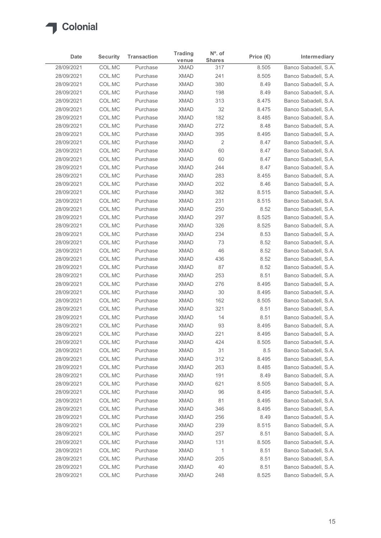

| Date                     | <b>Security</b>  | <b>Transaction</b>   | <b>Trading</b>             | $No$ . of            | Price $(\epsilon)$ | Intermediary                                 |
|--------------------------|------------------|----------------------|----------------------------|----------------------|--------------------|----------------------------------------------|
| 28/09/2021               | COL.MC           | Purchase             | venue<br><b>XMAD</b>       | <b>Shares</b><br>317 | 8.505              | Banco Sabadell, S.A.                         |
| 28/09/2021               | COL.MC           | Purchase             | <b>XMAD</b>                | 241                  | 8.505              | Banco Sabadell, S.A.                         |
| 28/09/2021               | COL.MC           | Purchase             | <b>XMAD</b>                | 380                  | 8.49               | Banco Sabadell, S.A.                         |
| 28/09/2021               | COL.MC           | Purchase             | <b>XMAD</b>                | 198                  | 8.49               | Banco Sabadell, S.A.                         |
| 28/09/2021               | COL.MC           | Purchase             | <b>XMAD</b>                | 313                  | 8.475              | Banco Sabadell, S.A.                         |
| 28/09/2021               | COL.MC           | Purchase             | <b>XMAD</b>                | 32                   | 8.475              | Banco Sabadell, S.A.                         |
| 28/09/2021               | COL.MC           | Purchase             | <b>XMAD</b>                | 182                  | 8.485              | Banco Sabadell, S.A.                         |
| 28/09/2021<br>28/09/2021 | COL.MC           | Purchase             | <b>XMAD</b><br><b>XMAD</b> | 272<br>395           | 8.48               | Banco Sabadell, S.A.                         |
| 28/09/2021               | COL.MC<br>COL.MC | Purchase<br>Purchase | <b>XMAD</b>                | $\overline{2}$       | 8.495<br>8.47      | Banco Sabadell, S.A.<br>Banco Sabadell, S.A. |
| 28/09/2021               | COL.MC           | Purchase             | <b>XMAD</b>                | 60                   | 8.47               | Banco Sabadell, S.A.                         |
| 28/09/2021               | COL.MC           | Purchase             | <b>XMAD</b>                | 60                   | 8.47               | Banco Sabadell, S.A.                         |
| 28/09/2021               | COL.MC           | Purchase             | <b>XMAD</b>                | 244                  | 8.47               | Banco Sabadell, S.A.                         |
| 28/09/2021               | COL.MC           | Purchase             | <b>XMAD</b>                | 283                  | 8.455              | Banco Sabadell, S.A.                         |
| 28/09/2021               | COL.MC           | Purchase             | <b>XMAD</b>                | 202                  | 8.46               | Banco Sabadell, S.A.                         |
| 28/09/2021               | COL.MC           | Purchase             | <b>XMAD</b>                | 382                  | 8.515              | Banco Sabadell, S.A.                         |
| 28/09/2021               | COL.MC           | Purchase             | <b>XMAD</b>                | 231                  | 8.515              | Banco Sabadell, S.A.                         |
| 28/09/2021               | COL.MC           | Purchase             | <b>XMAD</b>                | 250                  | 8.52               | Banco Sabadell, S.A.                         |
| 28/09/2021               | COL.MC           | Purchase             | <b>XMAD</b>                | 297                  | 8.525              | Banco Sabadell, S.A.                         |
| 28/09/2021<br>28/09/2021 | COL.MC<br>COL.MC | Purchase<br>Purchase | <b>XMAD</b><br><b>XMAD</b> | 326<br>234           | 8.525<br>8.53      | Banco Sabadell, S.A.<br>Banco Sabadell, S.A. |
| 28/09/2021               | COL.MC           | Purchase             | <b>XMAD</b>                | 73                   | 8.52               | Banco Sabadell, S.A.                         |
| 28/09/2021               | COL.MC           | Purchase             | <b>XMAD</b>                | 46                   | 8.52               | Banco Sabadell, S.A.                         |
| 28/09/2021               | COL.MC           | Purchase             | <b>XMAD</b>                | 436                  | 8.52               | Banco Sabadell, S.A.                         |
| 28/09/2021               | COL.MC           | Purchase             | <b>XMAD</b>                | 87                   | 8.52               | Banco Sabadell, S.A.                         |
| 28/09/2021               | COL.MC           | Purchase             | <b>XMAD</b>                | 253                  | 8.51               | Banco Sabadell, S.A.                         |
| 28/09/2021               | COL.MC           | Purchase             | <b>XMAD</b>                | 276                  | 8.495              | Banco Sabadell, S.A.                         |
| 28/09/2021               | COL.MC           | Purchase             | <b>XMAD</b>                | $30\,$               | 8.495              | Banco Sabadell, S.A.                         |
| 28/09/2021               | COL.MC           | Purchase             | <b>XMAD</b>                | 162                  | 8.505              | Banco Sabadell, S.A.                         |
| 28/09/2021               | COL.MC           | Purchase             | <b>XMAD</b>                | 321                  | 8.51               | Banco Sabadell, S.A.                         |
| 28/09/2021               | COL.MC           | Purchase             | <b>XMAD</b>                | 14                   | 8.51               | Banco Sabadell, S.A.                         |
| 28/09/2021<br>28/09/2021 | COL.MC           | Purchase             | <b>XMAD</b><br><b>XMAD</b> | 93                   | 8.495              | Banco Sabadell, S.A.                         |
| 28/09/2021               | COL.MC<br>COL.MC | Purchase<br>Purchase | <b>XMAD</b>                | 221<br>424           | 8.495<br>8.505     | Banco Sabadell, S.A.<br>Banco Sabadell, S.A. |
| 28/09/2021               | COL.MC           | Purchase             | <b>XMAD</b>                | 31                   | 8.5                | Banco Sabadell, S.A.                         |
| 28/09/2021               | COL.MC           | Purchase             | <b>XMAD</b>                | 312                  | 8.495              | Banco Sabadell, S.A.                         |
| 28/09/2021               | COL.MC           | Purchase             | <b>XMAD</b>                | 263                  | 8.485              | Banco Sabadell, S.A.                         |
| 28/09/2021               | COL.MC           | Purchase             | <b>XMAD</b>                | 191                  | 8.49               | Banco Sabadell, S.A.                         |
| 28/09/2021               | COL.MC           | Purchase             | <b>XMAD</b>                | 621                  | 8.505              | Banco Sabadell, S.A.                         |
| 28/09/2021               | COL.MC           | Purchase             | <b>XMAD</b>                | 96                   | 8.495              | Banco Sabadell, S.A.                         |
| 28/09/2021               | COL.MC           | Purchase             | <b>XMAD</b>                | 81                   | 8.495              | Banco Sabadell, S.A.                         |
| 28/09/2021               | COL.MC           | Purchase             | <b>XMAD</b>                | 346                  | 8.495              | Banco Sabadell, S.A.                         |
| 28/09/2021               | COL.MC           | Purchase             | <b>XMAD</b>                | 256                  | 8.49               | Banco Sabadell, S.A.                         |
| 28/09/2021               | COL.MC           | Purchase             | <b>XMAD</b>                | 239                  | 8.515              | Banco Sabadell, S.A.                         |
| 28/09/2021               | COL.MC           | Purchase             | <b>XMAD</b>                | 257                  | 8.51               | Banco Sabadell, S.A.                         |
| 28/09/2021               | COL.MC           | Purchase             | <b>XMAD</b>                | 131                  | 8.505              | Banco Sabadell, S.A.                         |
| 28/09/2021               | COL.MC           | Purchase             | <b>XMAD</b>                | $\overline{1}$       | 8.51               | Banco Sabadell, S.A.                         |
| 28/09/2021               | COL.MC           | Purchase             | <b>XMAD</b>                | 205                  | 8.51               | Banco Sabadell, S.A.                         |
| 28/09/2021               | COLMC            | Purchase             | <b>XMAD</b>                | $40\,$               | 8.51               | Banco Sabadell, S.A.                         |
| 28/09/2021               | COLMC            | Purchase             | <b>XMAD</b>                | 248                  | 8.525              | Banco Sabadell, S.A.                         |